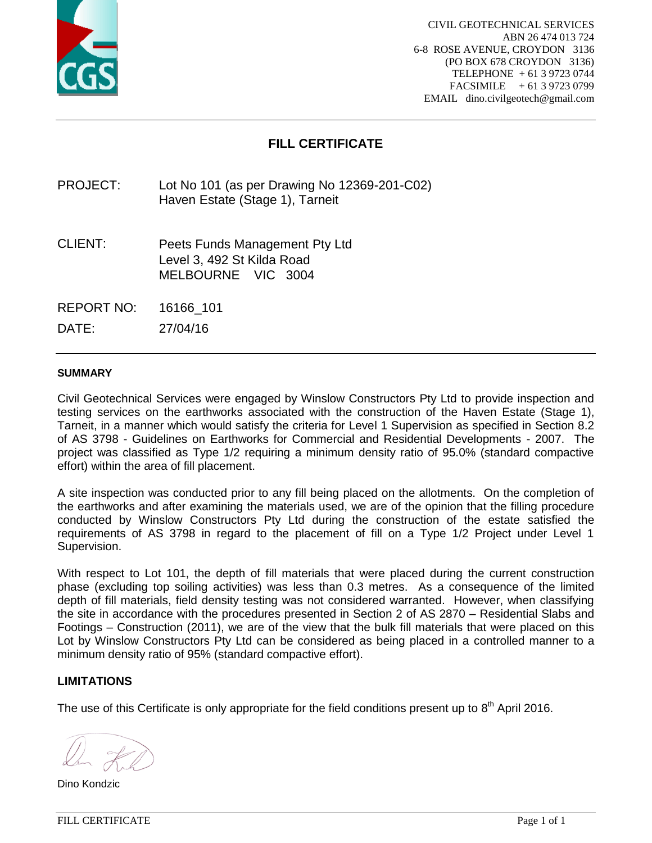

# **FILL CERTIFICATE**

PROJECT: Lot No 101 (as per Drawing No 12369-201-C02) Haven Estate (Stage 1), Tarneit

CLIENT: Peets Funds Management Pty Ltd Level 3, 492 St Kilda Road MELBOURNE VIC 3004

REPORT NO: 16166\_101

DATE: 27/04/16

#### **SUMMARY**

Civil Geotechnical Services were engaged by Winslow Constructors Pty Ltd to provide inspection and testing services on the earthworks associated with the construction of the Haven Estate (Stage 1), Tarneit, in a manner which would satisfy the criteria for Level 1 Supervision as specified in Section 8.2 of AS 3798 - Guidelines on Earthworks for Commercial and Residential Developments - 2007. The project was classified as Type 1/2 requiring a minimum density ratio of 95.0% (standard compactive effort) within the area of fill placement.

A site inspection was conducted prior to any fill being placed on the allotments. On the completion of the earthworks and after examining the materials used, we are of the opinion that the filling procedure conducted by Winslow Constructors Pty Ltd during the construction of the estate satisfied the requirements of AS 3798 in regard to the placement of fill on a Type 1/2 Project under Level 1 Supervision.

With respect to Lot 101, the depth of fill materials that were placed during the current construction phase (excluding top soiling activities) was less than 0.3 metres. As a consequence of the limited depth of fill materials, field density testing was not considered warranted. However, when classifying the site in accordance with the procedures presented in Section 2 of AS 2870 – Residential Slabs and Footings – Construction (2011), we are of the view that the bulk fill materials that were placed on this Lot by Winslow Constructors Pty Ltd can be considered as being placed in a controlled manner to a minimum density ratio of 95% (standard compactive effort).

## **LIMITATIONS**

Dino Kondzic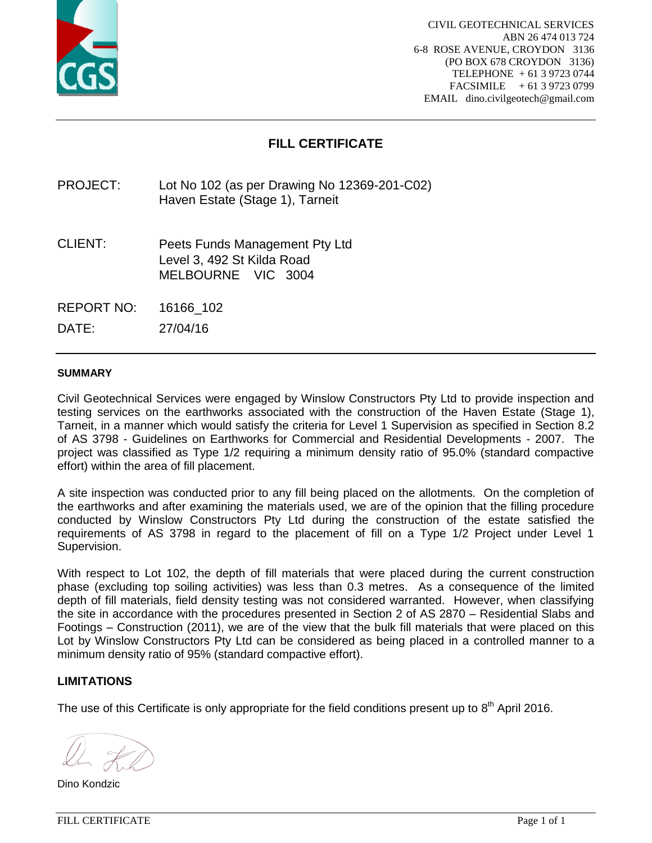

# **FILL CERTIFICATE**

PROJECT: Lot No 102 (as per Drawing No 12369-201-C02) Haven Estate (Stage 1), Tarneit

CLIENT: Peets Funds Management Pty Ltd Level 3, 492 St Kilda Road MELBOURNE VIC 3004

REPORT NO: 16166\_102

DATE: 27/04/16

#### **SUMMARY**

Civil Geotechnical Services were engaged by Winslow Constructors Pty Ltd to provide inspection and testing services on the earthworks associated with the construction of the Haven Estate (Stage 1), Tarneit, in a manner which would satisfy the criteria for Level 1 Supervision as specified in Section 8.2 of AS 3798 - Guidelines on Earthworks for Commercial and Residential Developments - 2007. The project was classified as Type 1/2 requiring a minimum density ratio of 95.0% (standard compactive effort) within the area of fill placement.

A site inspection was conducted prior to any fill being placed on the allotments. On the completion of the earthworks and after examining the materials used, we are of the opinion that the filling procedure conducted by Winslow Constructors Pty Ltd during the construction of the estate satisfied the requirements of AS 3798 in regard to the placement of fill on a Type 1/2 Project under Level 1 Supervision.

With respect to Lot 102, the depth of fill materials that were placed during the current construction phase (excluding top soiling activities) was less than 0.3 metres. As a consequence of the limited depth of fill materials, field density testing was not considered warranted. However, when classifying the site in accordance with the procedures presented in Section 2 of AS 2870 – Residential Slabs and Footings – Construction (2011), we are of the view that the bulk fill materials that were placed on this Lot by Winslow Constructors Pty Ltd can be considered as being placed in a controlled manner to a minimum density ratio of 95% (standard compactive effort).

## **LIMITATIONS**

Dino Kondzic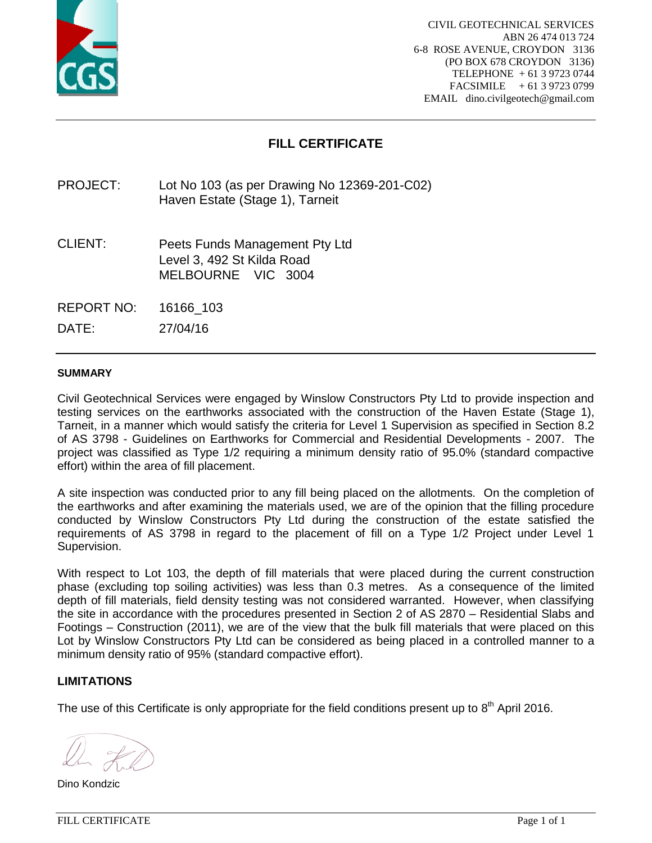

# **FILL CERTIFICATE**

PROJECT: Lot No 103 (as per Drawing No 12369-201-C02) Haven Estate (Stage 1), Tarneit

CLIENT: Peets Funds Management Pty Ltd Level 3, 492 St Kilda Road MELBOURNE VIC 3004

REPORT NO: 16166\_103

DATE: 27/04/16

#### **SUMMARY**

Civil Geotechnical Services were engaged by Winslow Constructors Pty Ltd to provide inspection and testing services on the earthworks associated with the construction of the Haven Estate (Stage 1), Tarneit, in a manner which would satisfy the criteria for Level 1 Supervision as specified in Section 8.2 of AS 3798 - Guidelines on Earthworks for Commercial and Residential Developments - 2007. The project was classified as Type 1/2 requiring a minimum density ratio of 95.0% (standard compactive effort) within the area of fill placement.

A site inspection was conducted prior to any fill being placed on the allotments. On the completion of the earthworks and after examining the materials used, we are of the opinion that the filling procedure conducted by Winslow Constructors Pty Ltd during the construction of the estate satisfied the requirements of AS 3798 in regard to the placement of fill on a Type 1/2 Project under Level 1 Supervision.

With respect to Lot 103, the depth of fill materials that were placed during the current construction phase (excluding top soiling activities) was less than 0.3 metres. As a consequence of the limited depth of fill materials, field density testing was not considered warranted. However, when classifying the site in accordance with the procedures presented in Section 2 of AS 2870 – Residential Slabs and Footings – Construction (2011), we are of the view that the bulk fill materials that were placed on this Lot by Winslow Constructors Pty Ltd can be considered as being placed in a controlled manner to a minimum density ratio of 95% (standard compactive effort).

## **LIMITATIONS**

Dino Kondzic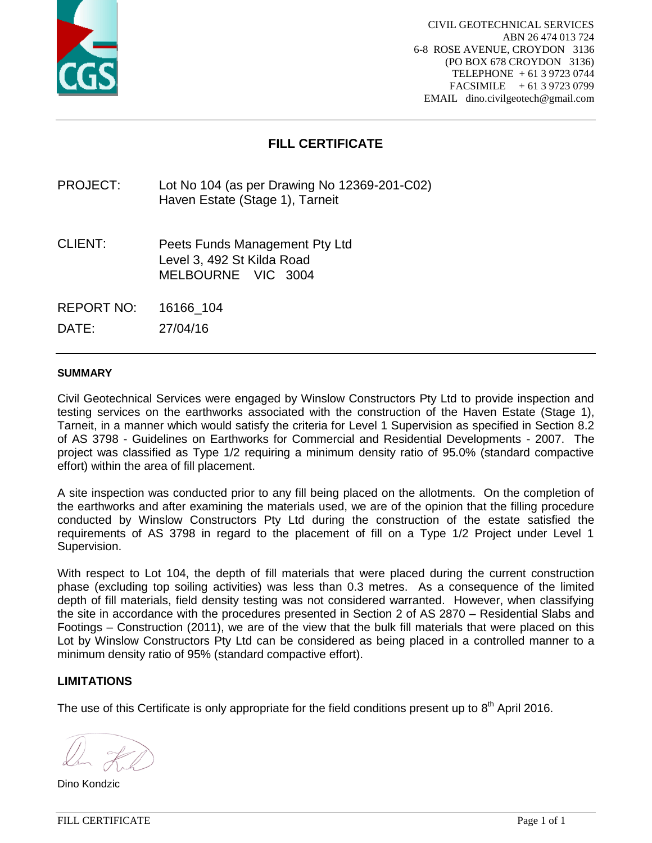

# **FILL CERTIFICATE**

PROJECT: Lot No 104 (as per Drawing No 12369-201-C02) Haven Estate (Stage 1), Tarneit

CLIENT: Peets Funds Management Pty Ltd Level 3, 492 St Kilda Road MELBOURNE VIC 3004

REPORT NO: 16166\_104

DATE: 27/04/16

#### **SUMMARY**

Civil Geotechnical Services were engaged by Winslow Constructors Pty Ltd to provide inspection and testing services on the earthworks associated with the construction of the Haven Estate (Stage 1), Tarneit, in a manner which would satisfy the criteria for Level 1 Supervision as specified in Section 8.2 of AS 3798 - Guidelines on Earthworks for Commercial and Residential Developments - 2007. The project was classified as Type 1/2 requiring a minimum density ratio of 95.0% (standard compactive effort) within the area of fill placement.

A site inspection was conducted prior to any fill being placed on the allotments. On the completion of the earthworks and after examining the materials used, we are of the opinion that the filling procedure conducted by Winslow Constructors Pty Ltd during the construction of the estate satisfied the requirements of AS 3798 in regard to the placement of fill on a Type 1/2 Project under Level 1 Supervision.

With respect to Lot 104, the depth of fill materials that were placed during the current construction phase (excluding top soiling activities) was less than 0.3 metres. As a consequence of the limited depth of fill materials, field density testing was not considered warranted. However, when classifying the site in accordance with the procedures presented in Section 2 of AS 2870 – Residential Slabs and Footings – Construction (2011), we are of the view that the bulk fill materials that were placed on this Lot by Winslow Constructors Pty Ltd can be considered as being placed in a controlled manner to a minimum density ratio of 95% (standard compactive effort).

## **LIMITATIONS**

Dino Kondzic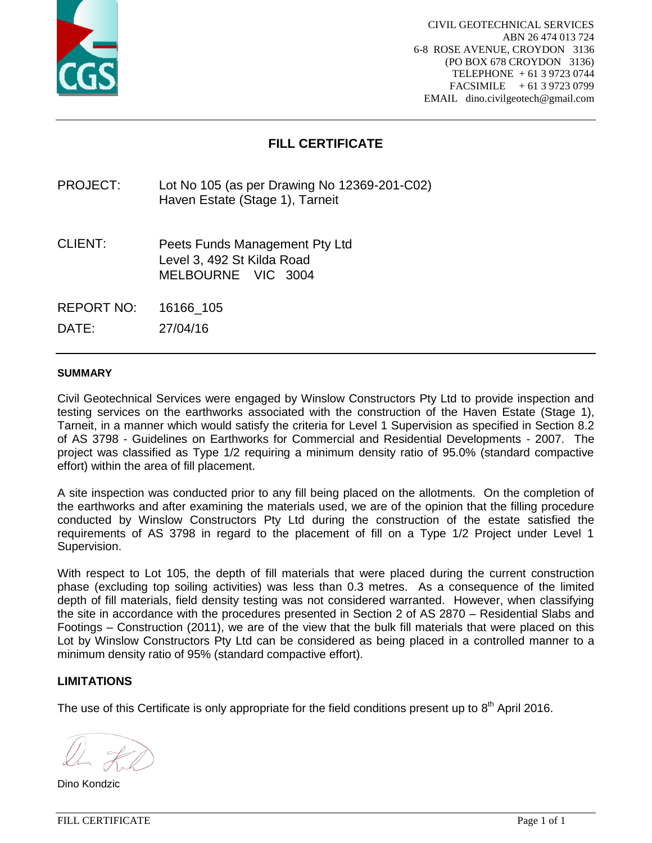

# **FILL CERTIFICATE**

PROJECT: Lot No 105 (as per Drawing No 12369-201-C02) Haven Estate (Stage 1), Tarneit

CLIENT: Peets Funds Management Pty Ltd Level 3, 492 St Kilda Road MELBOURNE VIC 3004

REPORT NO: 16166\_105

DATE: 27/04/16

#### **SUMMARY**

Civil Geotechnical Services were engaged by Winslow Constructors Pty Ltd to provide inspection and testing services on the earthworks associated with the construction of the Haven Estate (Stage 1), Tarneit, in a manner which would satisfy the criteria for Level 1 Supervision as specified in Section 8.2 of AS 3798 - Guidelines on Earthworks for Commercial and Residential Developments - 2007. The project was classified as Type 1/2 requiring a minimum density ratio of 95.0% (standard compactive effort) within the area of fill placement.

A site inspection was conducted prior to any fill being placed on the allotments. On the completion of the earthworks and after examining the materials used, we are of the opinion that the filling procedure conducted by Winslow Constructors Pty Ltd during the construction of the estate satisfied the requirements of AS 3798 in regard to the placement of fill on a Type 1/2 Project under Level 1 Supervision.

With respect to Lot 105, the depth of fill materials that were placed during the current construction phase (excluding top soiling activities) was less than 0.3 metres. As a consequence of the limited depth of fill materials, field density testing was not considered warranted. However, when classifying the site in accordance with the procedures presented in Section 2 of AS 2870 – Residential Slabs and Footings – Construction (2011), we are of the view that the bulk fill materials that were placed on this Lot by Winslow Constructors Pty Ltd can be considered as being placed in a controlled manner to a minimum density ratio of 95% (standard compactive effort).

## **LIMITATIONS**

Dino Kondzic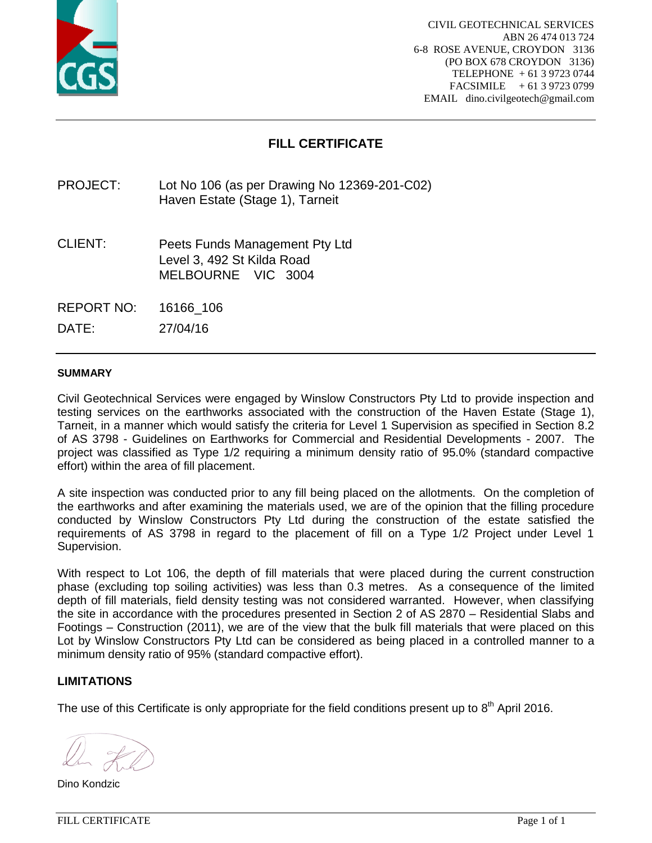

# **FILL CERTIFICATE**

PROJECT: Lot No 106 (as per Drawing No 12369-201-C02) Haven Estate (Stage 1), Tarneit

CLIENT: Peets Funds Management Pty Ltd Level 3, 492 St Kilda Road MELBOURNE VIC 3004

REPORT NO: 16166\_106

DATE: 27/04/16

#### **SUMMARY**

Civil Geotechnical Services were engaged by Winslow Constructors Pty Ltd to provide inspection and testing services on the earthworks associated with the construction of the Haven Estate (Stage 1), Tarneit, in a manner which would satisfy the criteria for Level 1 Supervision as specified in Section 8.2 of AS 3798 - Guidelines on Earthworks for Commercial and Residential Developments - 2007. The project was classified as Type 1/2 requiring a minimum density ratio of 95.0% (standard compactive effort) within the area of fill placement.

A site inspection was conducted prior to any fill being placed on the allotments. On the completion of the earthworks and after examining the materials used, we are of the opinion that the filling procedure conducted by Winslow Constructors Pty Ltd during the construction of the estate satisfied the requirements of AS 3798 in regard to the placement of fill on a Type 1/2 Project under Level 1 Supervision.

With respect to Lot 106, the depth of fill materials that were placed during the current construction phase (excluding top soiling activities) was less than 0.3 metres. As a consequence of the limited depth of fill materials, field density testing was not considered warranted. However, when classifying the site in accordance with the procedures presented in Section 2 of AS 2870 – Residential Slabs and Footings – Construction (2011), we are of the view that the bulk fill materials that were placed on this Lot by Winslow Constructors Pty Ltd can be considered as being placed in a controlled manner to a minimum density ratio of 95% (standard compactive effort).

## **LIMITATIONS**

Dino Kondzic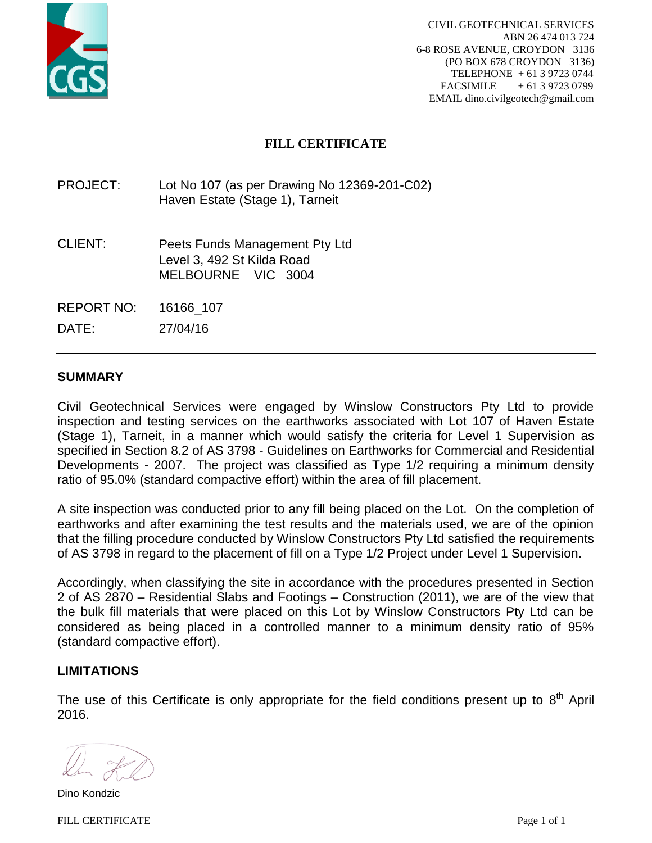

# **FILL CERTIFICATE**

PROJECT: Lot No 107 (as per Drawing No 12369-201-C02) Haven Estate (Stage 1), Tarneit

CLIENT: Peets Funds Management Pty Ltd Level 3, 492 St Kilda Road MELBOURNE VIC 3004

REPORT NO: 16166\_107

DATE: 27/04/16

## **SUMMARY**

Civil Geotechnical Services were engaged by Winslow Constructors Pty Ltd to provide inspection and testing services on the earthworks associated with Lot 107 of Haven Estate (Stage 1), Tarneit, in a manner which would satisfy the criteria for Level 1 Supervision as specified in Section 8.2 of AS 3798 - Guidelines on Earthworks for Commercial and Residential Developments - 2007. The project was classified as Type 1/2 requiring a minimum density ratio of 95.0% (standard compactive effort) within the area of fill placement.

A site inspection was conducted prior to any fill being placed on the Lot. On the completion of earthworks and after examining the test results and the materials used, we are of the opinion that the filling procedure conducted by Winslow Constructors Pty Ltd satisfied the requirements of AS 3798 in regard to the placement of fill on a Type 1/2 Project under Level 1 Supervision.

Accordingly, when classifying the site in accordance with the procedures presented in Section 2 of AS 2870 – Residential Slabs and Footings – Construction (2011), we are of the view that the bulk fill materials that were placed on this Lot by Winslow Constructors Pty Ltd can be considered as being placed in a controlled manner to a minimum density ratio of 95% (standard compactive effort).

## **LIMITATIONS**

The use of this Certificate is only appropriate for the field conditions present up to  $8<sup>th</sup>$  April 2016.

Dino Kondzic

FILL CERTIFICATE Page 1 of 1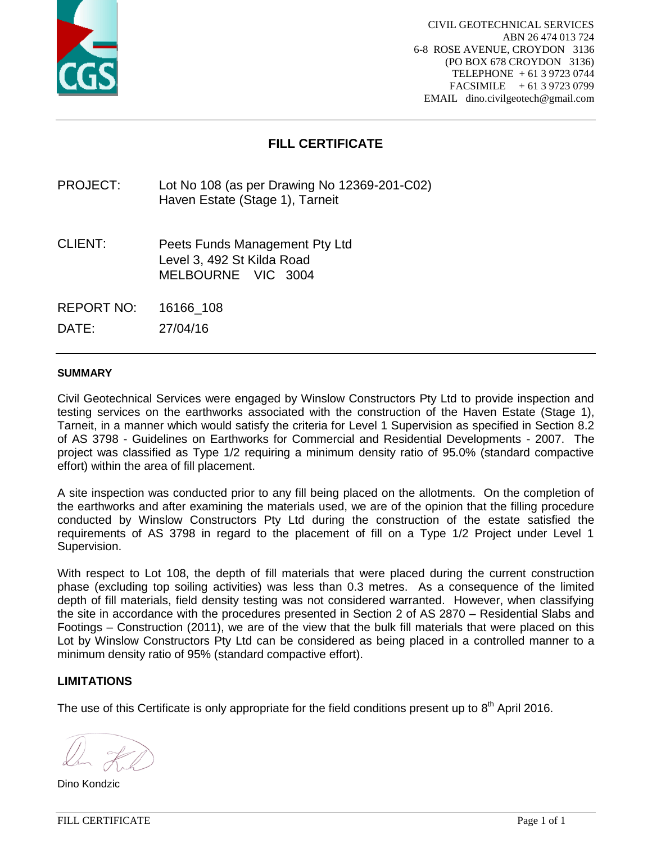

# **FILL CERTIFICATE**

PROJECT: Lot No 108 (as per Drawing No 12369-201-C02) Haven Estate (Stage 1), Tarneit

CLIENT: Peets Funds Management Pty Ltd Level 3, 492 St Kilda Road MELBOURNE VIC 3004

REPORT NO: 16166\_108

DATE: 27/04/16

#### **SUMMARY**

Civil Geotechnical Services were engaged by Winslow Constructors Pty Ltd to provide inspection and testing services on the earthworks associated with the construction of the Haven Estate (Stage 1), Tarneit, in a manner which would satisfy the criteria for Level 1 Supervision as specified in Section 8.2 of AS 3798 - Guidelines on Earthworks for Commercial and Residential Developments - 2007. The project was classified as Type 1/2 requiring a minimum density ratio of 95.0% (standard compactive effort) within the area of fill placement.

A site inspection was conducted prior to any fill being placed on the allotments. On the completion of the earthworks and after examining the materials used, we are of the opinion that the filling procedure conducted by Winslow Constructors Pty Ltd during the construction of the estate satisfied the requirements of AS 3798 in regard to the placement of fill on a Type 1/2 Project under Level 1 Supervision.

With respect to Lot 108, the depth of fill materials that were placed during the current construction phase (excluding top soiling activities) was less than 0.3 metres. As a consequence of the limited depth of fill materials, field density testing was not considered warranted. However, when classifying the site in accordance with the procedures presented in Section 2 of AS 2870 – Residential Slabs and Footings – Construction (2011), we are of the view that the bulk fill materials that were placed on this Lot by Winslow Constructors Pty Ltd can be considered as being placed in a controlled manner to a minimum density ratio of 95% (standard compactive effort).

## **LIMITATIONS**

Dino Kondzic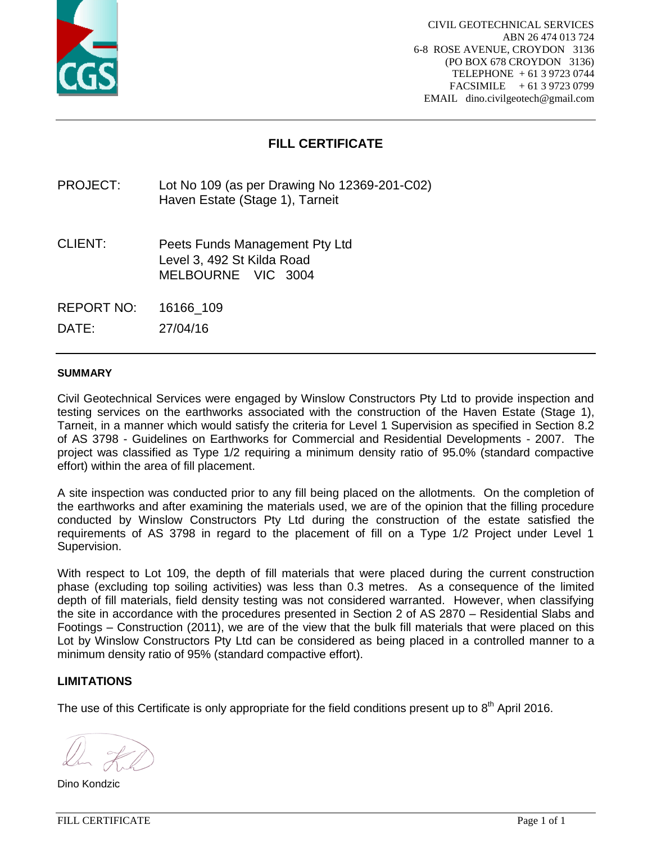

# **FILL CERTIFICATE**

PROJECT: Lot No 109 (as per Drawing No 12369-201-C02) Haven Estate (Stage 1), Tarneit

CLIENT: Peets Funds Management Pty Ltd Level 3, 492 St Kilda Road MELBOURNE VIC 3004

REPORT NO: 16166\_109

DATE: 27/04/16

#### **SUMMARY**

Civil Geotechnical Services were engaged by Winslow Constructors Pty Ltd to provide inspection and testing services on the earthworks associated with the construction of the Haven Estate (Stage 1), Tarneit, in a manner which would satisfy the criteria for Level 1 Supervision as specified in Section 8.2 of AS 3798 - Guidelines on Earthworks for Commercial and Residential Developments - 2007. The project was classified as Type 1/2 requiring a minimum density ratio of 95.0% (standard compactive effort) within the area of fill placement.

A site inspection was conducted prior to any fill being placed on the allotments. On the completion of the earthworks and after examining the materials used, we are of the opinion that the filling procedure conducted by Winslow Constructors Pty Ltd during the construction of the estate satisfied the requirements of AS 3798 in regard to the placement of fill on a Type 1/2 Project under Level 1 Supervision.

With respect to Lot 109, the depth of fill materials that were placed during the current construction phase (excluding top soiling activities) was less than 0.3 metres. As a consequence of the limited depth of fill materials, field density testing was not considered warranted. However, when classifying the site in accordance with the procedures presented in Section 2 of AS 2870 – Residential Slabs and Footings – Construction (2011), we are of the view that the bulk fill materials that were placed on this Lot by Winslow Constructors Pty Ltd can be considered as being placed in a controlled manner to a minimum density ratio of 95% (standard compactive effort).

## **LIMITATIONS**

Dino Kondzic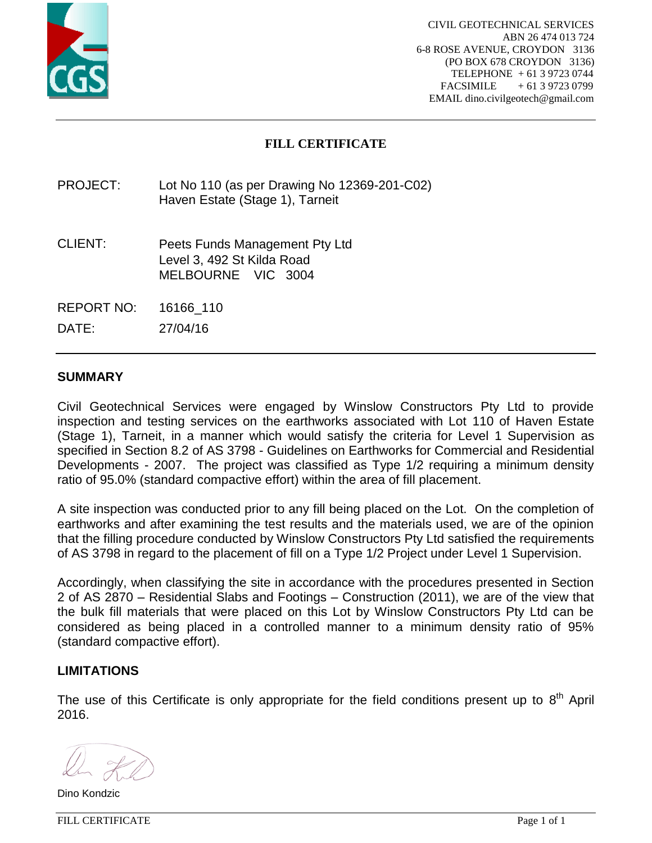

# **FILL CERTIFICATE**

## PROJECT: Lot No 110 (as per Drawing No 12369-201-C02) Haven Estate (Stage 1), Tarneit

CLIENT: Peets Funds Management Pty Ltd Level 3, 492 St Kilda Road MELBOURNE VIC 3004

REPORT NO: 16166\_110

DATE: 27/04/16

## **SUMMARY**

Civil Geotechnical Services were engaged by Winslow Constructors Pty Ltd to provide inspection and testing services on the earthworks associated with Lot 110 of Haven Estate (Stage 1), Tarneit, in a manner which would satisfy the criteria for Level 1 Supervision as specified in Section 8.2 of AS 3798 - Guidelines on Earthworks for Commercial and Residential Developments - 2007. The project was classified as Type 1/2 requiring a minimum density ratio of 95.0% (standard compactive effort) within the area of fill placement.

A site inspection was conducted prior to any fill being placed on the Lot. On the completion of earthworks and after examining the test results and the materials used, we are of the opinion that the filling procedure conducted by Winslow Constructors Pty Ltd satisfied the requirements of AS 3798 in regard to the placement of fill on a Type 1/2 Project under Level 1 Supervision.

Accordingly, when classifying the site in accordance with the procedures presented in Section 2 of AS 2870 – Residential Slabs and Footings – Construction (2011), we are of the view that the bulk fill materials that were placed on this Lot by Winslow Constructors Pty Ltd can be considered as being placed in a controlled manner to a minimum density ratio of 95% (standard compactive effort).

## **LIMITATIONS**

Dino Kondzic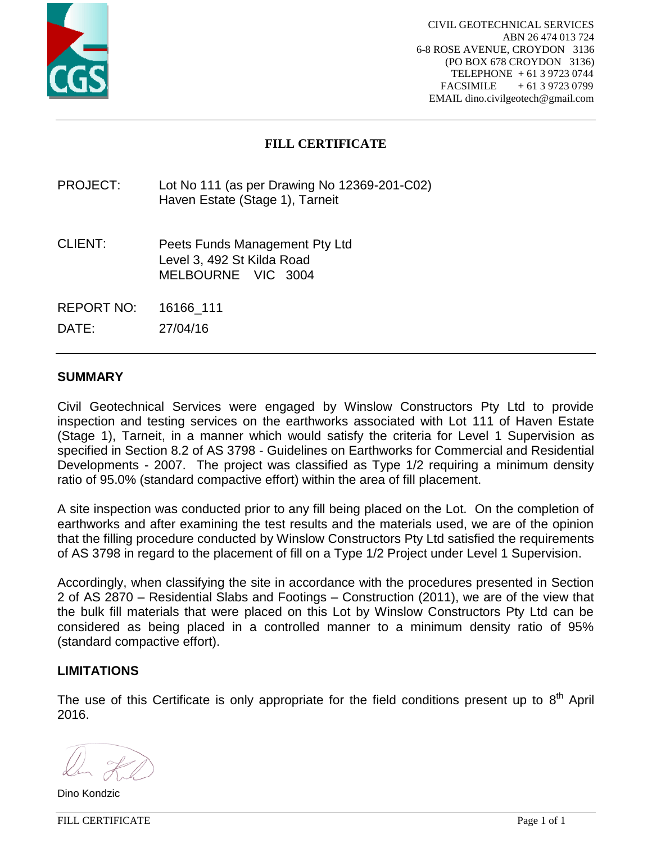

# **FILL CERTIFICATE**

PROJECT: Lot No 111 (as per Drawing No 12369-201-C02) Haven Estate (Stage 1), Tarneit

CLIENT: Peets Funds Management Pty Ltd Level 3, 492 St Kilda Road MELBOURNE VIC 3004

REPORT NO: 16166\_111

DATE: 27/04/16

## **SUMMARY**

Civil Geotechnical Services were engaged by Winslow Constructors Pty Ltd to provide inspection and testing services on the earthworks associated with Lot 111 of Haven Estate (Stage 1), Tarneit, in a manner which would satisfy the criteria for Level 1 Supervision as specified in Section 8.2 of AS 3798 - Guidelines on Earthworks for Commercial and Residential Developments - 2007. The project was classified as Type 1/2 requiring a minimum density ratio of 95.0% (standard compactive effort) within the area of fill placement.

A site inspection was conducted prior to any fill being placed on the Lot. On the completion of earthworks and after examining the test results and the materials used, we are of the opinion that the filling procedure conducted by Winslow Constructors Pty Ltd satisfied the requirements of AS 3798 in regard to the placement of fill on a Type 1/2 Project under Level 1 Supervision.

Accordingly, when classifying the site in accordance with the procedures presented in Section 2 of AS 2870 – Residential Slabs and Footings – Construction (2011), we are of the view that the bulk fill materials that were placed on this Lot by Winslow Constructors Pty Ltd can be considered as being placed in a controlled manner to a minimum density ratio of 95% (standard compactive effort).

## **LIMITATIONS**

The use of this Certificate is only appropriate for the field conditions present up to  $8<sup>th</sup>$  April 2016.

Dino Kondzic

FILL CERTIFICATE Page 1 of 1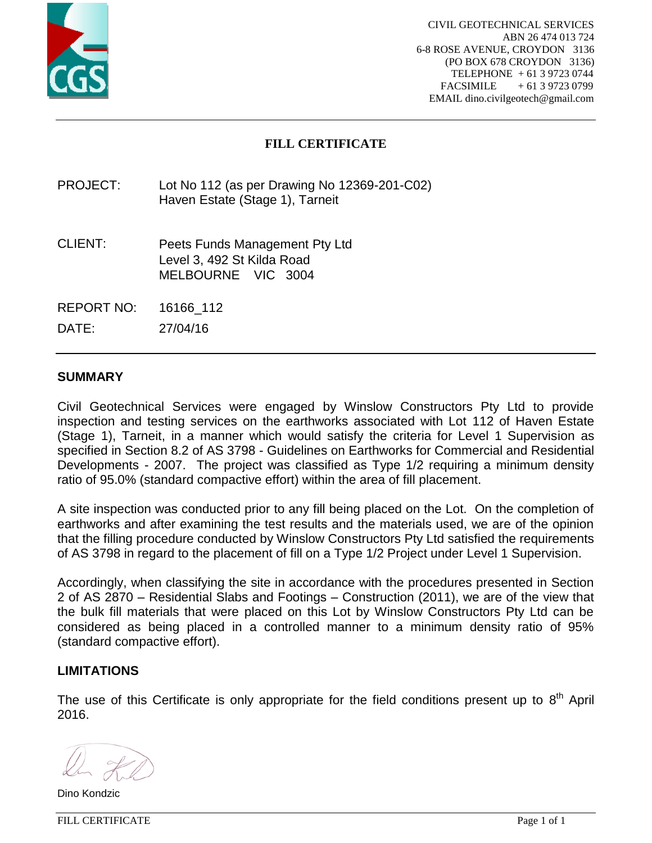

# **FILL CERTIFICATE**

## PROJECT: Lot No 112 (as per Drawing No 12369-201-C02) Haven Estate (Stage 1), Tarneit

- CLIENT: Peets Funds Management Pty Ltd Level 3, 492 St Kilda Road MELBOURNE VIC 3004
- REPORT NO: 16166\_112

DATE: 27/04/16

## **SUMMARY**

Civil Geotechnical Services were engaged by Winslow Constructors Pty Ltd to provide inspection and testing services on the earthworks associated with Lot 112 of Haven Estate (Stage 1), Tarneit, in a manner which would satisfy the criteria for Level 1 Supervision as specified in Section 8.2 of AS 3798 - Guidelines on Earthworks for Commercial and Residential Developments - 2007. The project was classified as Type 1/2 requiring a minimum density ratio of 95.0% (standard compactive effort) within the area of fill placement.

A site inspection was conducted prior to any fill being placed on the Lot. On the completion of earthworks and after examining the test results and the materials used, we are of the opinion that the filling procedure conducted by Winslow Constructors Pty Ltd satisfied the requirements of AS 3798 in regard to the placement of fill on a Type 1/2 Project under Level 1 Supervision.

Accordingly, when classifying the site in accordance with the procedures presented in Section 2 of AS 2870 – Residential Slabs and Footings – Construction (2011), we are of the view that the bulk fill materials that were placed on this Lot by Winslow Constructors Pty Ltd can be considered as being placed in a controlled manner to a minimum density ratio of 95% (standard compactive effort).

## **LIMITATIONS**

Dino Kondzic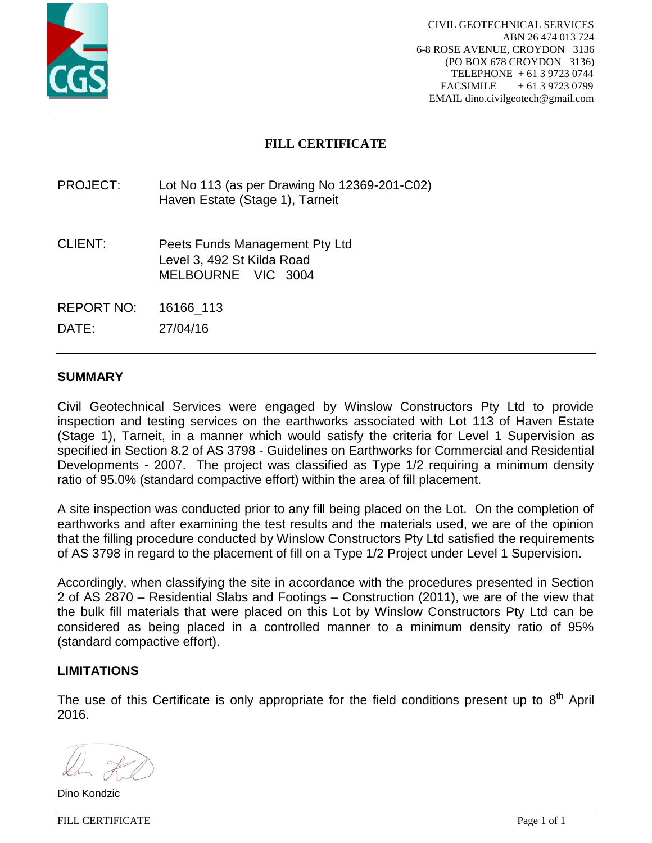

# **FILL CERTIFICATE**

PROJECT: Lot No 113 (as per Drawing No 12369-201-C02) Haven Estate (Stage 1), Tarneit

CLIENT: Peets Funds Management Pty Ltd Level 3, 492 St Kilda Road MELBOURNE VIC 3004

REPORT NO: 16166\_113

DATE: 27/04/16

## **SUMMARY**

Civil Geotechnical Services were engaged by Winslow Constructors Pty Ltd to provide inspection and testing services on the earthworks associated with Lot 113 of Haven Estate (Stage 1), Tarneit, in a manner which would satisfy the criteria for Level 1 Supervision as specified in Section 8.2 of AS 3798 - Guidelines on Earthworks for Commercial and Residential Developments - 2007. The project was classified as Type 1/2 requiring a minimum density ratio of 95.0% (standard compactive effort) within the area of fill placement.

A site inspection was conducted prior to any fill being placed on the Lot. On the completion of earthworks and after examining the test results and the materials used, we are of the opinion that the filling procedure conducted by Winslow Constructors Pty Ltd satisfied the requirements of AS 3798 in regard to the placement of fill on a Type 1/2 Project under Level 1 Supervision.

Accordingly, when classifying the site in accordance with the procedures presented in Section 2 of AS 2870 – Residential Slabs and Footings – Construction (2011), we are of the view that the bulk fill materials that were placed on this Lot by Winslow Constructors Pty Ltd can be considered as being placed in a controlled manner to a minimum density ratio of 95% (standard compactive effort).

## **LIMITATIONS**

The use of this Certificate is only appropriate for the field conditions present up to  $8<sup>th</sup>$  April 2016.

Dino Kondzic

FILL CERTIFICATE Page 1 of 1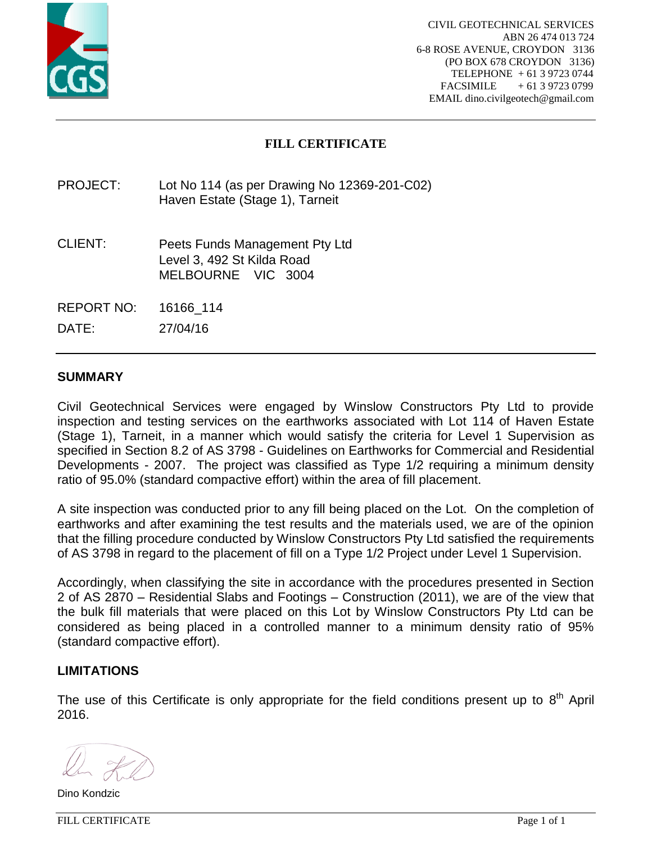

# **FILL CERTIFICATE**

## PROJECT: Lot No 114 (as per Drawing No 12369-201-C02) Haven Estate (Stage 1), Tarneit

- CLIENT: Peets Funds Management Pty Ltd Level 3, 492 St Kilda Road MELBOURNE VIC 3004
- REPORT NO: 16166\_114

DATE: 27/04/16

## **SUMMARY**

Civil Geotechnical Services were engaged by Winslow Constructors Pty Ltd to provide inspection and testing services on the earthworks associated with Lot 114 of Haven Estate (Stage 1), Tarneit, in a manner which would satisfy the criteria for Level 1 Supervision as specified in Section 8.2 of AS 3798 - Guidelines on Earthworks for Commercial and Residential Developments - 2007. The project was classified as Type 1/2 requiring a minimum density ratio of 95.0% (standard compactive effort) within the area of fill placement.

A site inspection was conducted prior to any fill being placed on the Lot. On the completion of earthworks and after examining the test results and the materials used, we are of the opinion that the filling procedure conducted by Winslow Constructors Pty Ltd satisfied the requirements of AS 3798 in regard to the placement of fill on a Type 1/2 Project under Level 1 Supervision.

Accordingly, when classifying the site in accordance with the procedures presented in Section 2 of AS 2870 – Residential Slabs and Footings – Construction (2011), we are of the view that the bulk fill materials that were placed on this Lot by Winslow Constructors Pty Ltd can be considered as being placed in a controlled manner to a minimum density ratio of 95% (standard compactive effort).

## **LIMITATIONS**

Dino Kondzic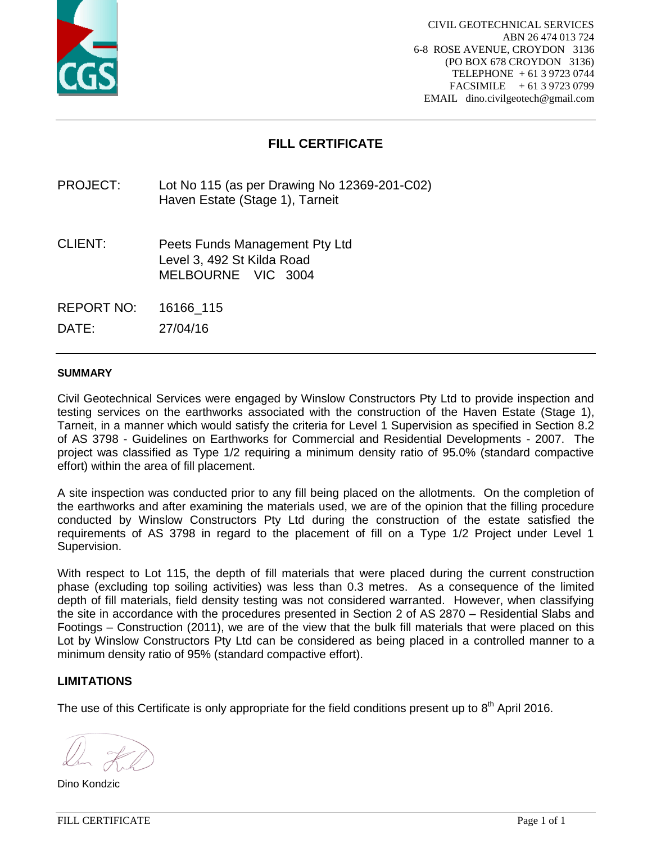

# **FILL CERTIFICATE**

PROJECT: Lot No 115 (as per Drawing No 12369-201-C02) Haven Estate (Stage 1), Tarneit

CLIENT: Peets Funds Management Pty Ltd Level 3, 492 St Kilda Road MELBOURNE VIC 3004

REPORT NO: 16166\_115

DATE: 27/04/16

#### **SUMMARY**

Civil Geotechnical Services were engaged by Winslow Constructors Pty Ltd to provide inspection and testing services on the earthworks associated with the construction of the Haven Estate (Stage 1), Tarneit, in a manner which would satisfy the criteria for Level 1 Supervision as specified in Section 8.2 of AS 3798 - Guidelines on Earthworks for Commercial and Residential Developments - 2007. The project was classified as Type 1/2 requiring a minimum density ratio of 95.0% (standard compactive effort) within the area of fill placement.

A site inspection was conducted prior to any fill being placed on the allotments. On the completion of the earthworks and after examining the materials used, we are of the opinion that the filling procedure conducted by Winslow Constructors Pty Ltd during the construction of the estate satisfied the requirements of AS 3798 in regard to the placement of fill on a Type 1/2 Project under Level 1 Supervision.

With respect to Lot 115, the depth of fill materials that were placed during the current construction phase (excluding top soiling activities) was less than 0.3 metres. As a consequence of the limited depth of fill materials, field density testing was not considered warranted. However, when classifying the site in accordance with the procedures presented in Section 2 of AS 2870 – Residential Slabs and Footings – Construction (2011), we are of the view that the bulk fill materials that were placed on this Lot by Winslow Constructors Pty Ltd can be considered as being placed in a controlled manner to a minimum density ratio of 95% (standard compactive effort).

## **LIMITATIONS**

Dino Kondzic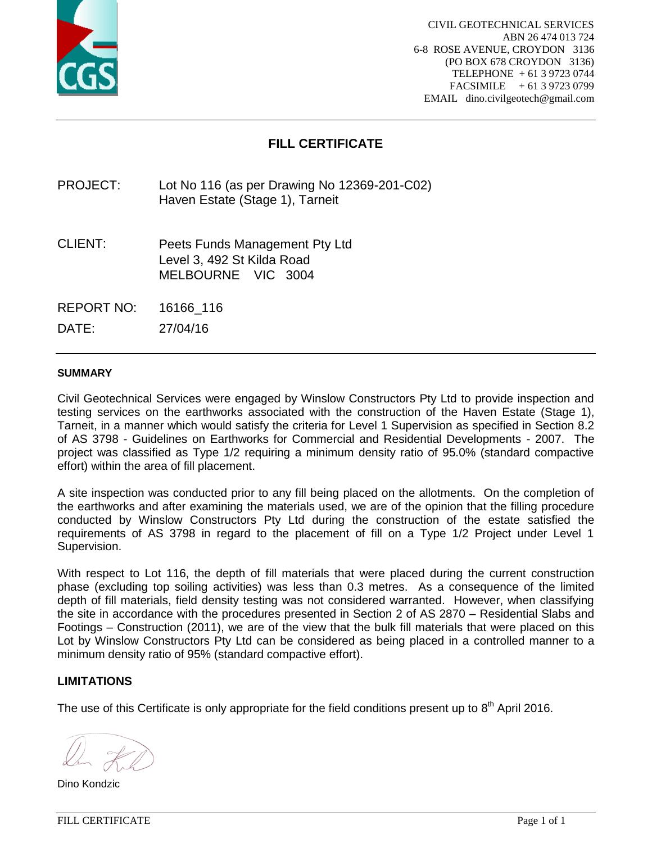

# **FILL CERTIFICATE**

PROJECT: Lot No 116 (as per Drawing No 12369-201-C02) Haven Estate (Stage 1), Tarneit

CLIENT: Peets Funds Management Pty Ltd Level 3, 492 St Kilda Road MELBOURNE VIC 3004

REPORT NO: 16166\_116

DATE: 27/04/16

#### **SUMMARY**

Civil Geotechnical Services were engaged by Winslow Constructors Pty Ltd to provide inspection and testing services on the earthworks associated with the construction of the Haven Estate (Stage 1), Tarneit, in a manner which would satisfy the criteria for Level 1 Supervision as specified in Section 8.2 of AS 3798 - Guidelines on Earthworks for Commercial and Residential Developments - 2007. The project was classified as Type 1/2 requiring a minimum density ratio of 95.0% (standard compactive effort) within the area of fill placement.

A site inspection was conducted prior to any fill being placed on the allotments. On the completion of the earthworks and after examining the materials used, we are of the opinion that the filling procedure conducted by Winslow Constructors Pty Ltd during the construction of the estate satisfied the requirements of AS 3798 in regard to the placement of fill on a Type 1/2 Project under Level 1 Supervision.

With respect to Lot 116, the depth of fill materials that were placed during the current construction phase (excluding top soiling activities) was less than 0.3 metres. As a consequence of the limited depth of fill materials, field density testing was not considered warranted. However, when classifying the site in accordance with the procedures presented in Section 2 of AS 2870 – Residential Slabs and Footings – Construction (2011), we are of the view that the bulk fill materials that were placed on this Lot by Winslow Constructors Pty Ltd can be considered as being placed in a controlled manner to a minimum density ratio of 95% (standard compactive effort).

## **LIMITATIONS**

Dino Kondzic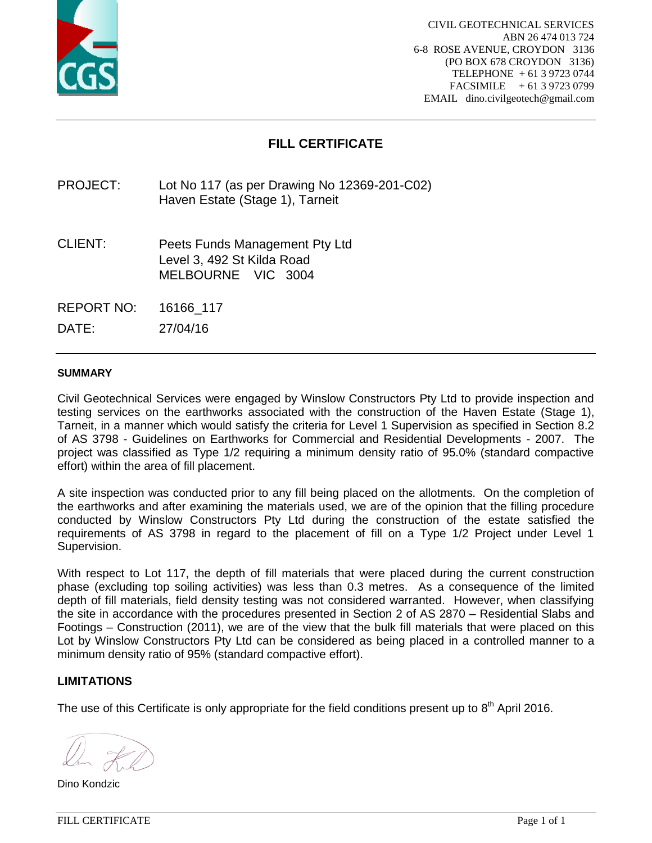

# **FILL CERTIFICATE**

PROJECT: Lot No 117 (as per Drawing No 12369-201-C02) Haven Estate (Stage 1), Tarneit

CLIENT: Peets Funds Management Pty Ltd Level 3, 492 St Kilda Road MELBOURNE VIC 3004

REPORT NO: 16166\_117

DATE: 27/04/16

#### **SUMMARY**

Civil Geotechnical Services were engaged by Winslow Constructors Pty Ltd to provide inspection and testing services on the earthworks associated with the construction of the Haven Estate (Stage 1), Tarneit, in a manner which would satisfy the criteria for Level 1 Supervision as specified in Section 8.2 of AS 3798 - Guidelines on Earthworks for Commercial and Residential Developments - 2007. The project was classified as Type 1/2 requiring a minimum density ratio of 95.0% (standard compactive effort) within the area of fill placement.

A site inspection was conducted prior to any fill being placed on the allotments. On the completion of the earthworks and after examining the materials used, we are of the opinion that the filling procedure conducted by Winslow Constructors Pty Ltd during the construction of the estate satisfied the requirements of AS 3798 in regard to the placement of fill on a Type 1/2 Project under Level 1 Supervision.

With respect to Lot 117, the depth of fill materials that were placed during the current construction phase (excluding top soiling activities) was less than 0.3 metres. As a consequence of the limited depth of fill materials, field density testing was not considered warranted. However, when classifying the site in accordance with the procedures presented in Section 2 of AS 2870 – Residential Slabs and Footings – Construction (2011), we are of the view that the bulk fill materials that were placed on this Lot by Winslow Constructors Pty Ltd can be considered as being placed in a controlled manner to a minimum density ratio of 95% (standard compactive effort).

## **LIMITATIONS**

Dino Kondzic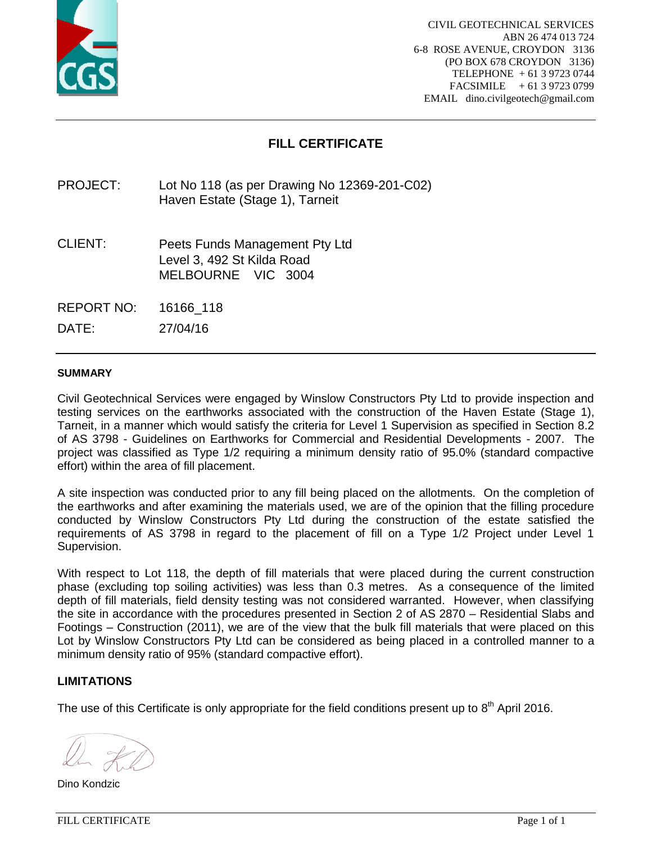

# **FILL CERTIFICATE**

PROJECT: Lot No 118 (as per Drawing No 12369-201-C02) Haven Estate (Stage 1), Tarneit

CLIENT: Peets Funds Management Pty Ltd Level 3, 492 St Kilda Road MELBOURNE VIC 3004

REPORT NO: 16166\_118

DATE: 27/04/16

#### **SUMMARY**

Civil Geotechnical Services were engaged by Winslow Constructors Pty Ltd to provide inspection and testing services on the earthworks associated with the construction of the Haven Estate (Stage 1), Tarneit, in a manner which would satisfy the criteria for Level 1 Supervision as specified in Section 8.2 of AS 3798 - Guidelines on Earthworks for Commercial and Residential Developments - 2007. The project was classified as Type 1/2 requiring a minimum density ratio of 95.0% (standard compactive effort) within the area of fill placement.

A site inspection was conducted prior to any fill being placed on the allotments. On the completion of the earthworks and after examining the materials used, we are of the opinion that the filling procedure conducted by Winslow Constructors Pty Ltd during the construction of the estate satisfied the requirements of AS 3798 in regard to the placement of fill on a Type 1/2 Project under Level 1 Supervision.

With respect to Lot 118, the depth of fill materials that were placed during the current construction phase (excluding top soiling activities) was less than 0.3 metres. As a consequence of the limited depth of fill materials, field density testing was not considered warranted. However, when classifying the site in accordance with the procedures presented in Section 2 of AS 2870 – Residential Slabs and Footings – Construction (2011), we are of the view that the bulk fill materials that were placed on this Lot by Winslow Constructors Pty Ltd can be considered as being placed in a controlled manner to a minimum density ratio of 95% (standard compactive effort).

## **LIMITATIONS**

Dino Kondzic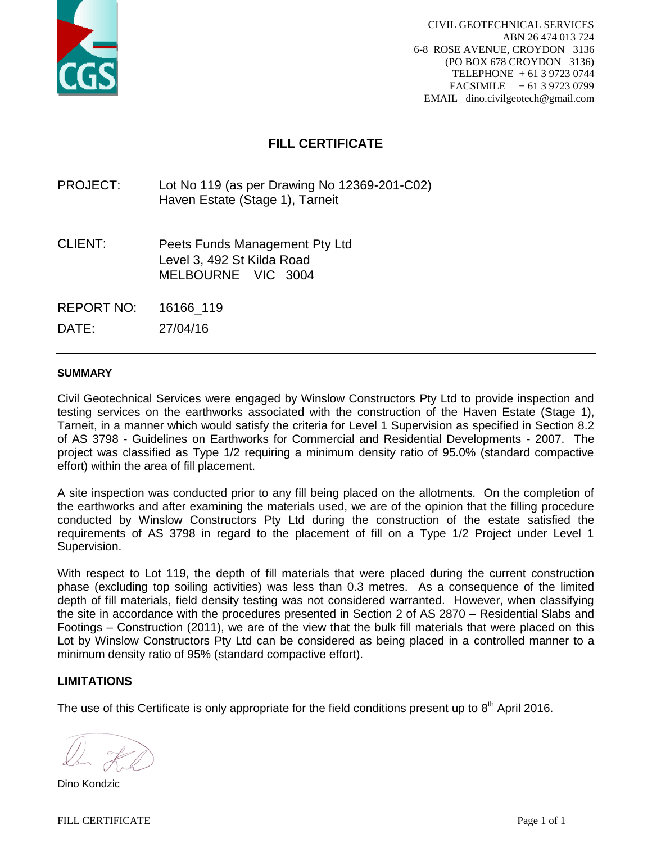

# **FILL CERTIFICATE**

PROJECT: Lot No 119 (as per Drawing No 12369-201-C02) Haven Estate (Stage 1), Tarneit

CLIENT: Peets Funds Management Pty Ltd Level 3, 492 St Kilda Road MELBOURNE VIC 3004

REPORT NO: 16166\_119

DATE: 27/04/16

#### **SUMMARY**

Civil Geotechnical Services were engaged by Winslow Constructors Pty Ltd to provide inspection and testing services on the earthworks associated with the construction of the Haven Estate (Stage 1), Tarneit, in a manner which would satisfy the criteria for Level 1 Supervision as specified in Section 8.2 of AS 3798 - Guidelines on Earthworks for Commercial and Residential Developments - 2007. The project was classified as Type 1/2 requiring a minimum density ratio of 95.0% (standard compactive effort) within the area of fill placement.

A site inspection was conducted prior to any fill being placed on the allotments. On the completion of the earthworks and after examining the materials used, we are of the opinion that the filling procedure conducted by Winslow Constructors Pty Ltd during the construction of the estate satisfied the requirements of AS 3798 in regard to the placement of fill on a Type 1/2 Project under Level 1 Supervision.

With respect to Lot 119, the depth of fill materials that were placed during the current construction phase (excluding top soiling activities) was less than 0.3 metres. As a consequence of the limited depth of fill materials, field density testing was not considered warranted. However, when classifying the site in accordance with the procedures presented in Section 2 of AS 2870 – Residential Slabs and Footings – Construction (2011), we are of the view that the bulk fill materials that were placed on this Lot by Winslow Constructors Pty Ltd can be considered as being placed in a controlled manner to a minimum density ratio of 95% (standard compactive effort).

## **LIMITATIONS**

Dino Kondzic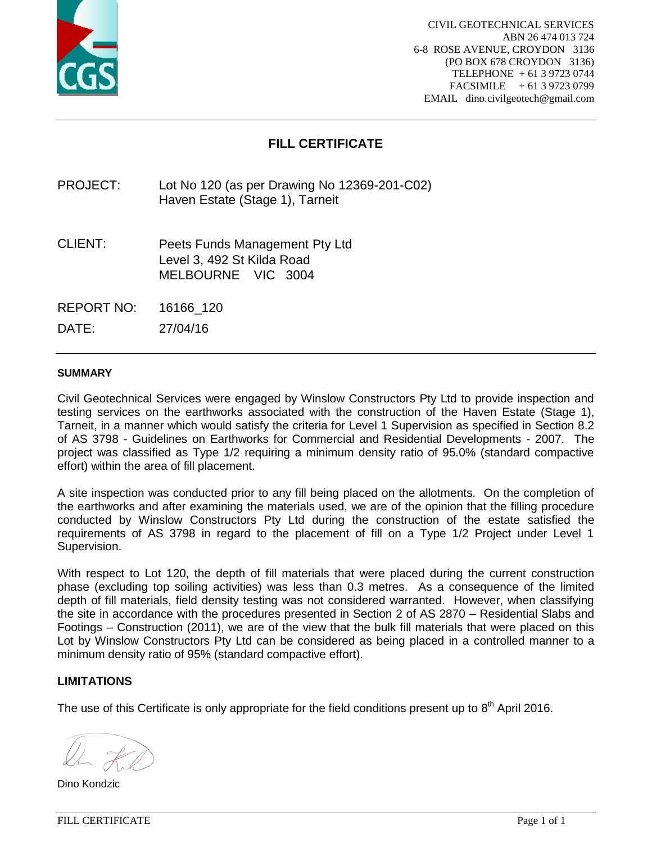

# **FILL CERTIFICATE**

PROJECT: Lot No 120 (as per Drawing No 12369-201-C02) Haven Estate (Stage 1), Tarneit

CLIENT: Peets Funds Management Pty Ltd Level 3, 492 St Kilda Road MELBOURNE VIC 3004

REPORT NO: 16166\_120

DATE: 27/04/16

#### **SUMMARY**

Civil Geotechnical Services were engaged by Winslow Constructors Pty Ltd to provide inspection and testing services on the earthworks associated with the construction of the Haven Estate (Stage 1), Tarneit, in a manner which would satisfy the criteria for Level 1 Supervision as specified in Section 8.2 of AS 3798 - Guidelines on Earthworks for Commercial and Residential Developments - 2007. The project was classified as Type 1/2 requiring a minimum density ratio of 95.0% (standard compactive effort) within the area of fill placement.

A site inspection was conducted prior to any fill being placed on the allotments. On the completion of the earthworks and after examining the materials used, we are of the opinion that the filling procedure conducted by Winslow Constructors Pty Ltd during the construction of the estate satisfied the requirements of AS 3798 in regard to the placement of fill on a Type 1/2 Project under Level 1 Supervision.

With respect to Lot 120, the depth of fill materials that were placed during the current construction phase (excluding top soiling activities) was less than 0.3 metres. As a consequence of the limited depth of fill materials, field density testing was not considered warranted. However, when classifying the site in accordance with the procedures presented in Section 2 of AS 2870 – Residential Slabs and Footings – Construction (2011), we are of the view that the bulk fill materials that were placed on this Lot by Winslow Constructors Pty Ltd can be considered as being placed in a controlled manner to a minimum density ratio of 95% (standard compactive effort).

## **LIMITATIONS**

Dino Kondzic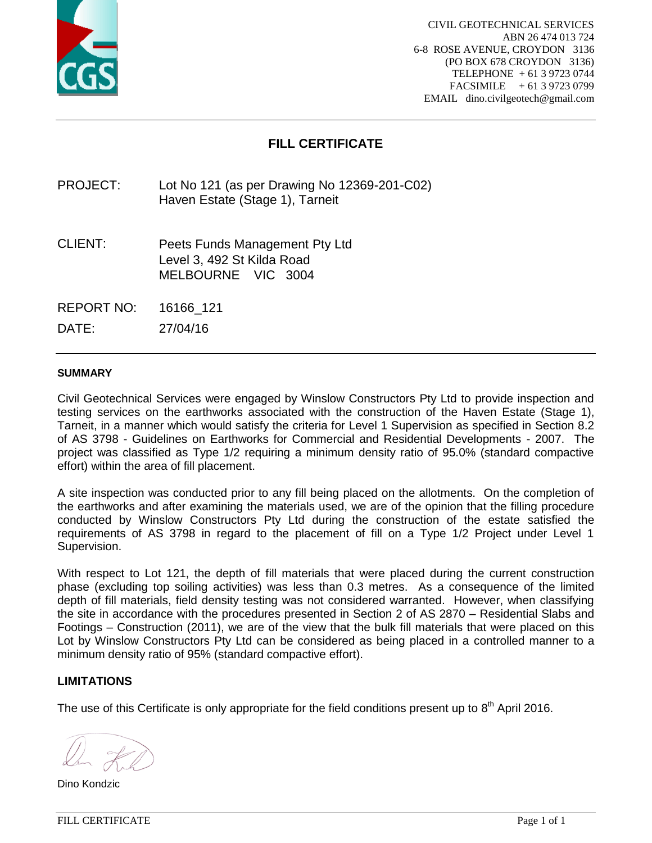

# **FILL CERTIFICATE**

PROJECT: Lot No 121 (as per Drawing No 12369-201-C02) Haven Estate (Stage 1), Tarneit

CLIENT: Peets Funds Management Pty Ltd Level 3, 492 St Kilda Road MELBOURNE VIC 3004

REPORT NO: 16166\_121

DATE: 27/04/16

#### **SUMMARY**

Civil Geotechnical Services were engaged by Winslow Constructors Pty Ltd to provide inspection and testing services on the earthworks associated with the construction of the Haven Estate (Stage 1), Tarneit, in a manner which would satisfy the criteria for Level 1 Supervision as specified in Section 8.2 of AS 3798 - Guidelines on Earthworks for Commercial and Residential Developments - 2007. The project was classified as Type 1/2 requiring a minimum density ratio of 95.0% (standard compactive effort) within the area of fill placement.

A site inspection was conducted prior to any fill being placed on the allotments. On the completion of the earthworks and after examining the materials used, we are of the opinion that the filling procedure conducted by Winslow Constructors Pty Ltd during the construction of the estate satisfied the requirements of AS 3798 in regard to the placement of fill on a Type 1/2 Project under Level 1 Supervision.

With respect to Lot 121, the depth of fill materials that were placed during the current construction phase (excluding top soiling activities) was less than 0.3 metres. As a consequence of the limited depth of fill materials, field density testing was not considered warranted. However, when classifying the site in accordance with the procedures presented in Section 2 of AS 2870 – Residential Slabs and Footings – Construction (2011), we are of the view that the bulk fill materials that were placed on this Lot by Winslow Constructors Pty Ltd can be considered as being placed in a controlled manner to a minimum density ratio of 95% (standard compactive effort).

## **LIMITATIONS**

Dino Kondzic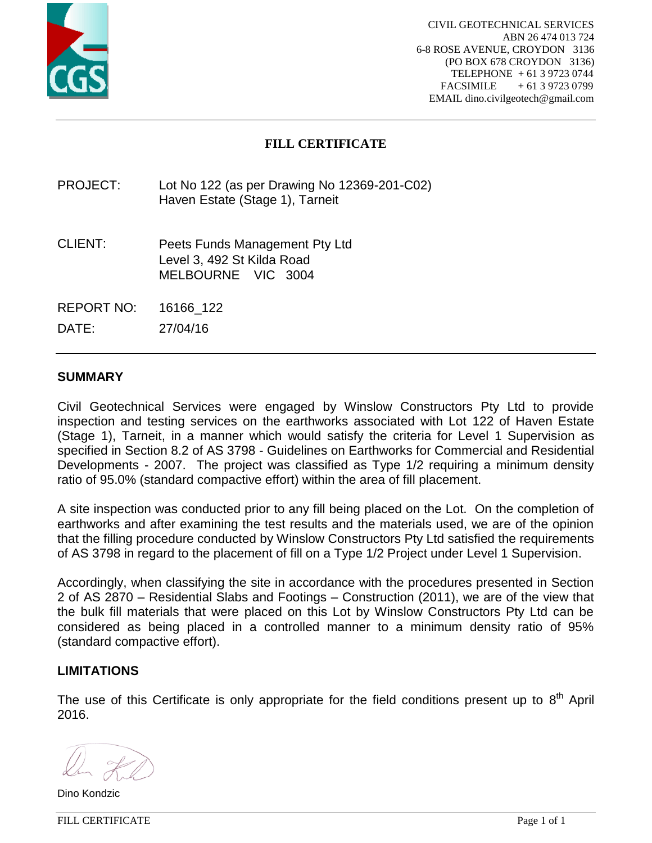

# **FILL CERTIFICATE**

PROJECT: Lot No 122 (as per Drawing No 12369-201-C02) Haven Estate (Stage 1), Tarneit

- CLIENT: Peets Funds Management Pty Ltd Level 3, 492 St Kilda Road MELBOURNE VIC 3004
- REPORT NO: 16166\_122

DATE: 27/04/16

## **SUMMARY**

Civil Geotechnical Services were engaged by Winslow Constructors Pty Ltd to provide inspection and testing services on the earthworks associated with Lot 122 of Haven Estate (Stage 1), Tarneit, in a manner which would satisfy the criteria for Level 1 Supervision as specified in Section 8.2 of AS 3798 - Guidelines on Earthworks for Commercial and Residential Developments - 2007. The project was classified as Type 1/2 requiring a minimum density ratio of 95.0% (standard compactive effort) within the area of fill placement.

A site inspection was conducted prior to any fill being placed on the Lot. On the completion of earthworks and after examining the test results and the materials used, we are of the opinion that the filling procedure conducted by Winslow Constructors Pty Ltd satisfied the requirements of AS 3798 in regard to the placement of fill on a Type 1/2 Project under Level 1 Supervision.

Accordingly, when classifying the site in accordance with the procedures presented in Section 2 of AS 2870 – Residential Slabs and Footings – Construction (2011), we are of the view that the bulk fill materials that were placed on this Lot by Winslow Constructors Pty Ltd can be considered as being placed in a controlled manner to a minimum density ratio of 95% (standard compactive effort).

## **LIMITATIONS**

Dino Kondzic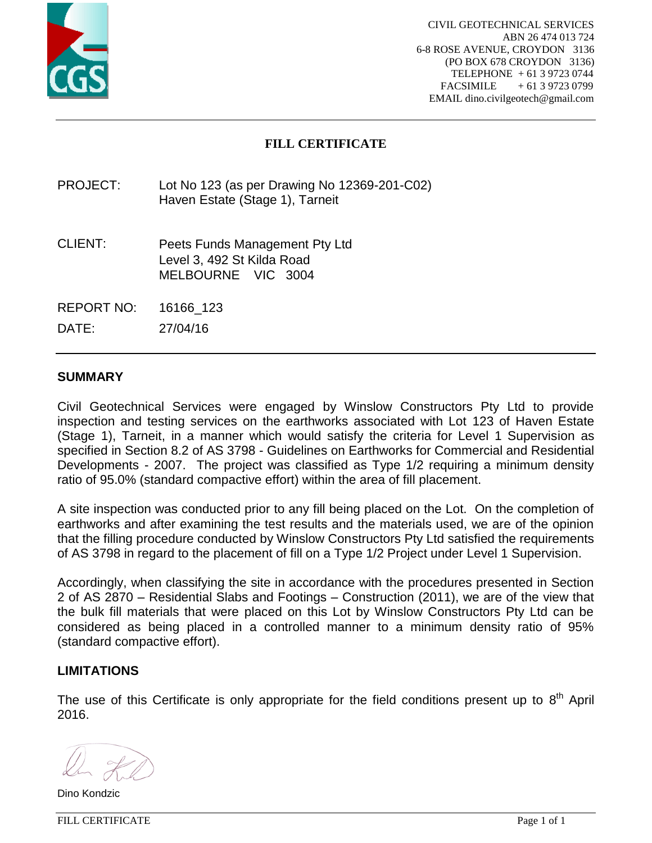

# **FILL CERTIFICATE**

PROJECT: Lot No 123 (as per Drawing No 12369-201-C02) Haven Estate (Stage 1), Tarneit

- CLIENT: Peets Funds Management Pty Ltd Level 3, 492 St Kilda Road MELBOURNE VIC 3004
- REPORT NO: 16166\_123

DATE: 27/04/16

## **SUMMARY**

Civil Geotechnical Services were engaged by Winslow Constructors Pty Ltd to provide inspection and testing services on the earthworks associated with Lot 123 of Haven Estate (Stage 1), Tarneit, in a manner which would satisfy the criteria for Level 1 Supervision as specified in Section 8.2 of AS 3798 - Guidelines on Earthworks for Commercial and Residential Developments - 2007. The project was classified as Type 1/2 requiring a minimum density ratio of 95.0% (standard compactive effort) within the area of fill placement.

A site inspection was conducted prior to any fill being placed on the Lot. On the completion of earthworks and after examining the test results and the materials used, we are of the opinion that the filling procedure conducted by Winslow Constructors Pty Ltd satisfied the requirements of AS 3798 in regard to the placement of fill on a Type 1/2 Project under Level 1 Supervision.

Accordingly, when classifying the site in accordance with the procedures presented in Section 2 of AS 2870 – Residential Slabs and Footings – Construction (2011), we are of the view that the bulk fill materials that were placed on this Lot by Winslow Constructors Pty Ltd can be considered as being placed in a controlled manner to a minimum density ratio of 95% (standard compactive effort).

## **LIMITATIONS**

Dino Kondzic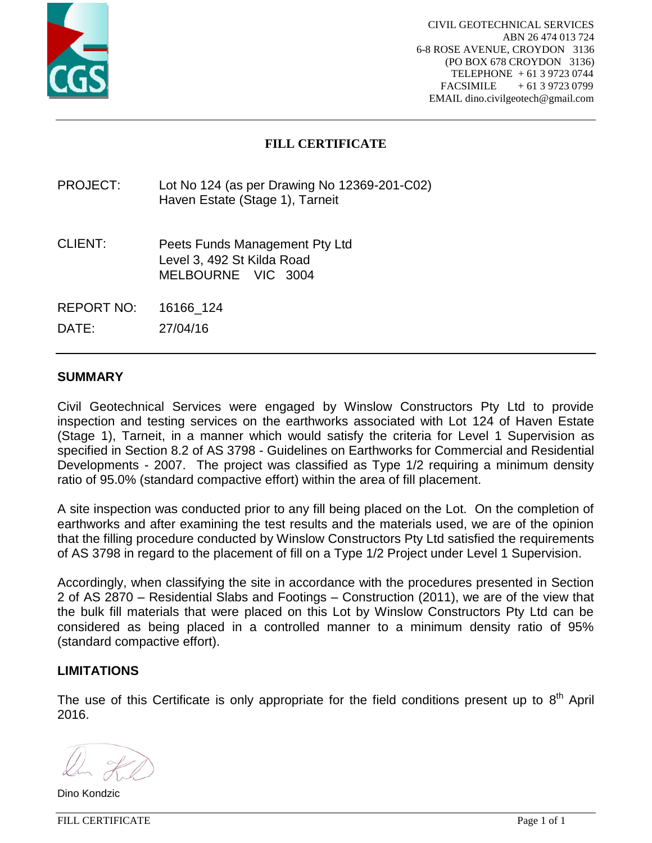

# **FILL CERTIFICATE**

PROJECT: Lot No 124 (as per Drawing No 12369-201-C02) Haven Estate (Stage 1), Tarneit

CLIENT: Peets Funds Management Pty Ltd Level 3, 492 St Kilda Road MELBOURNE VIC 3004

REPORT NO: 16166\_124

DATE: 27/04/16

## **SUMMARY**

Civil Geotechnical Services were engaged by Winslow Constructors Pty Ltd to provide inspection and testing services on the earthworks associated with Lot 124 of Haven Estate (Stage 1), Tarneit, in a manner which would satisfy the criteria for Level 1 Supervision as specified in Section 8.2 of AS 3798 - Guidelines on Earthworks for Commercial and Residential Developments - 2007. The project was classified as Type 1/2 requiring a minimum density ratio of 95.0% (standard compactive effort) within the area of fill placement.

A site inspection was conducted prior to any fill being placed on the Lot. On the completion of earthworks and after examining the test results and the materials used, we are of the opinion that the filling procedure conducted by Winslow Constructors Pty Ltd satisfied the requirements of AS 3798 in regard to the placement of fill on a Type 1/2 Project under Level 1 Supervision.

Accordingly, when classifying the site in accordance with the procedures presented in Section 2 of AS 2870 – Residential Slabs and Footings – Construction (2011), we are of the view that the bulk fill materials that were placed on this Lot by Winslow Constructors Pty Ltd can be considered as being placed in a controlled manner to a minimum density ratio of 95% (standard compactive effort).

## **LIMITATIONS**

The use of this Certificate is only appropriate for the field conditions present up to  $8<sup>th</sup>$  April 2016.

Dino Kondzic

FILL CERTIFICATE Page 1 of 1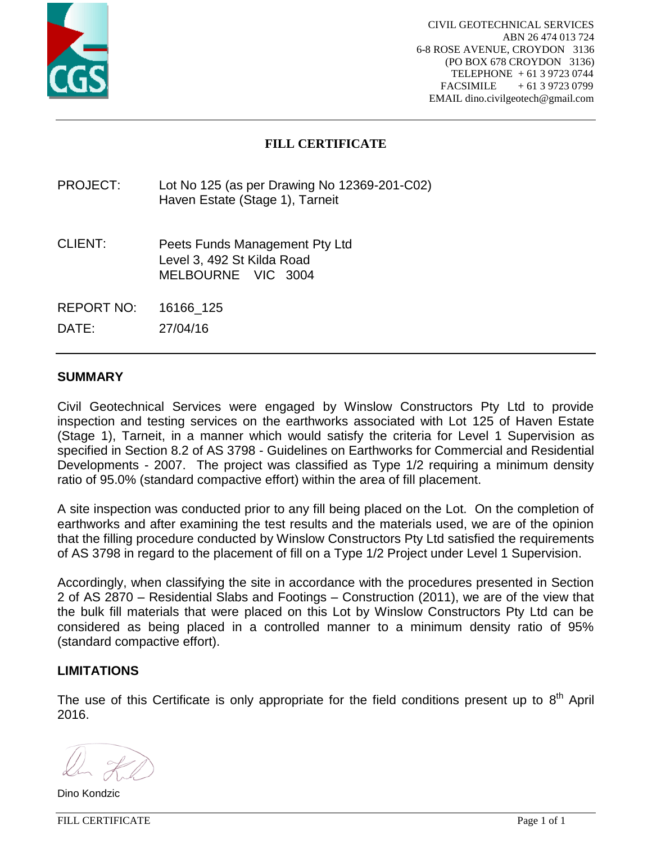

# **FILL CERTIFICATE**

PROJECT: Lot No 125 (as per Drawing No 12369-201-C02) Haven Estate (Stage 1), Tarneit

CLIENT: Peets Funds Management Pty Ltd Level 3, 492 St Kilda Road MELBOURNE VIC 3004

REPORT NO: 16166\_125

DATE: 27/04/16

## **SUMMARY**

Civil Geotechnical Services were engaged by Winslow Constructors Pty Ltd to provide inspection and testing services on the earthworks associated with Lot 125 of Haven Estate (Stage 1), Tarneit, in a manner which would satisfy the criteria for Level 1 Supervision as specified in Section 8.2 of AS 3798 - Guidelines on Earthworks for Commercial and Residential Developments - 2007. The project was classified as Type 1/2 requiring a minimum density ratio of 95.0% (standard compactive effort) within the area of fill placement.

A site inspection was conducted prior to any fill being placed on the Lot. On the completion of earthworks and after examining the test results and the materials used, we are of the opinion that the filling procedure conducted by Winslow Constructors Pty Ltd satisfied the requirements of AS 3798 in regard to the placement of fill on a Type 1/2 Project under Level 1 Supervision.

Accordingly, when classifying the site in accordance with the procedures presented in Section 2 of AS 2870 – Residential Slabs and Footings – Construction (2011), we are of the view that the bulk fill materials that were placed on this Lot by Winslow Constructors Pty Ltd can be considered as being placed in a controlled manner to a minimum density ratio of 95% (standard compactive effort).

## **LIMITATIONS**

The use of this Certificate is only appropriate for the field conditions present up to  $8<sup>th</sup>$  April 2016.

Dino Kondzic

FILL CERTIFICATE Page 1 of 1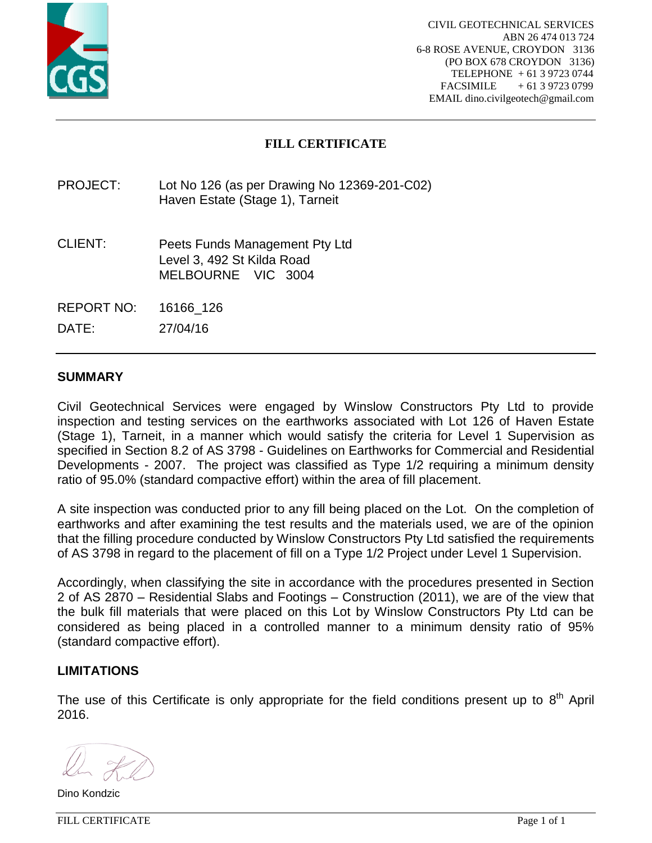

# **FILL CERTIFICATE**

PROJECT: Lot No 126 (as per Drawing No 12369-201-C02) Haven Estate (Stage 1), Tarneit

- CLIENT: Peets Funds Management Pty Ltd Level 3, 492 St Kilda Road MELBOURNE VIC 3004
- REPORT NO: 16166\_126

DATE: 27/04/16

## **SUMMARY**

Civil Geotechnical Services were engaged by Winslow Constructors Pty Ltd to provide inspection and testing services on the earthworks associated with Lot 126 of Haven Estate (Stage 1), Tarneit, in a manner which would satisfy the criteria for Level 1 Supervision as specified in Section 8.2 of AS 3798 - Guidelines on Earthworks for Commercial and Residential Developments - 2007. The project was classified as Type 1/2 requiring a minimum density ratio of 95.0% (standard compactive effort) within the area of fill placement.

A site inspection was conducted prior to any fill being placed on the Lot. On the completion of earthworks and after examining the test results and the materials used, we are of the opinion that the filling procedure conducted by Winslow Constructors Pty Ltd satisfied the requirements of AS 3798 in regard to the placement of fill on a Type 1/2 Project under Level 1 Supervision.

Accordingly, when classifying the site in accordance with the procedures presented in Section 2 of AS 2870 – Residential Slabs and Footings – Construction (2011), we are of the view that the bulk fill materials that were placed on this Lot by Winslow Constructors Pty Ltd can be considered as being placed in a controlled manner to a minimum density ratio of 95% (standard compactive effort).

## **LIMITATIONS**

The use of this Certificate is only appropriate for the field conditions present up to  $8<sup>th</sup>$  April 2016.

Dino Kondzic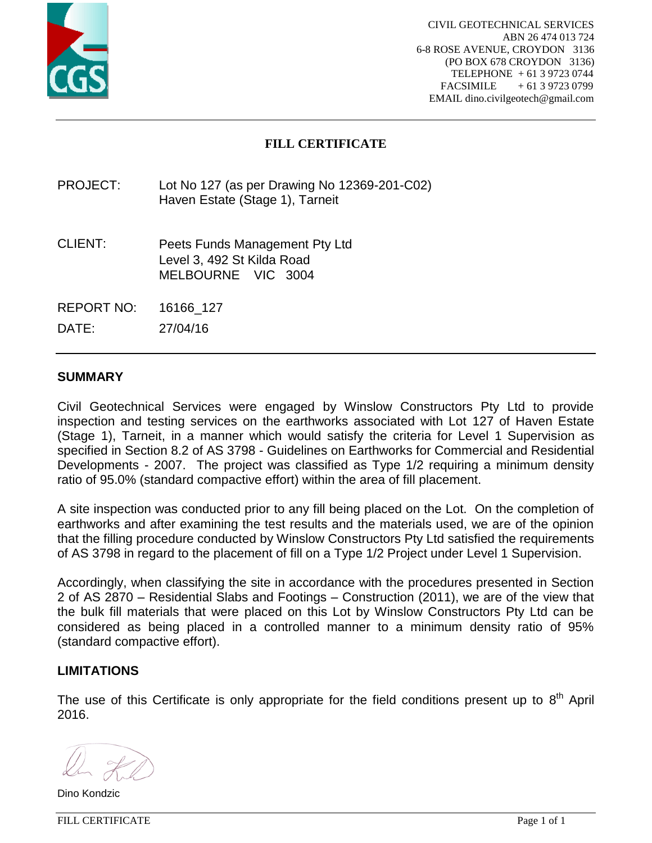

# **FILL CERTIFICATE**

## PROJECT: Lot No 127 (as per Drawing No 12369-201-C02) Haven Estate (Stage 1), Tarneit

- CLIENT: Peets Funds Management Pty Ltd Level 3, 492 St Kilda Road MELBOURNE VIC 3004
- REPORT NO: 16166\_127

DATE: 27/04/16

## **SUMMARY**

Civil Geotechnical Services were engaged by Winslow Constructors Pty Ltd to provide inspection and testing services on the earthworks associated with Lot 127 of Haven Estate (Stage 1), Tarneit, in a manner which would satisfy the criteria for Level 1 Supervision as specified in Section 8.2 of AS 3798 - Guidelines on Earthworks for Commercial and Residential Developments - 2007. The project was classified as Type 1/2 requiring a minimum density ratio of 95.0% (standard compactive effort) within the area of fill placement.

A site inspection was conducted prior to any fill being placed on the Lot. On the completion of earthworks and after examining the test results and the materials used, we are of the opinion that the filling procedure conducted by Winslow Constructors Pty Ltd satisfied the requirements of AS 3798 in regard to the placement of fill on a Type 1/2 Project under Level 1 Supervision.

Accordingly, when classifying the site in accordance with the procedures presented in Section 2 of AS 2870 – Residential Slabs and Footings – Construction (2011), we are of the view that the bulk fill materials that were placed on this Lot by Winslow Constructors Pty Ltd can be considered as being placed in a controlled manner to a minimum density ratio of 95% (standard compactive effort).

## **LIMITATIONS**

Dino Kondzic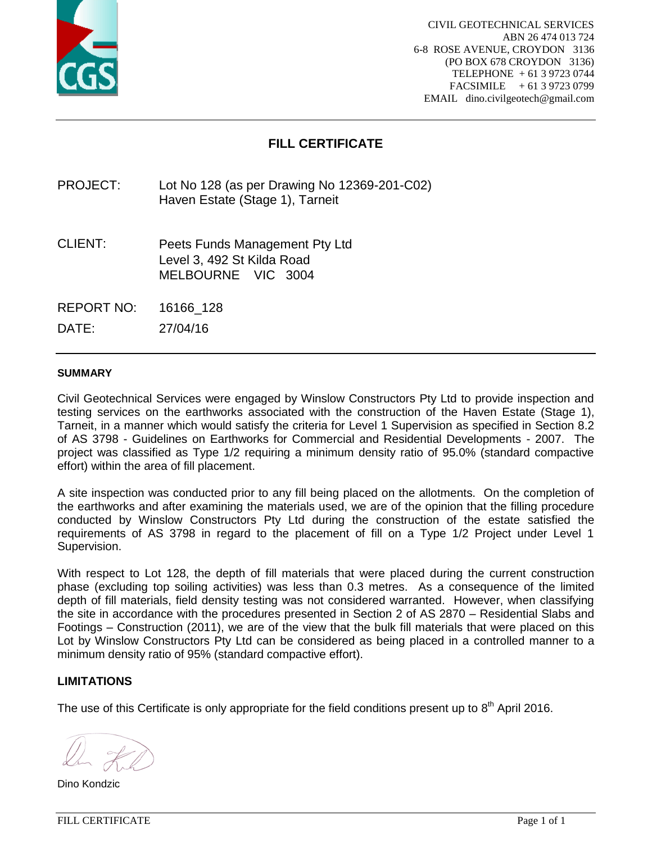

# **FILL CERTIFICATE**

PROJECT: Lot No 128 (as per Drawing No 12369-201-C02) Haven Estate (Stage 1), Tarneit

CLIENT: Peets Funds Management Pty Ltd Level 3, 492 St Kilda Road MELBOURNE VIC 3004

REPORT NO: 16166\_128

DATE: 27/04/16

#### **SUMMARY**

Civil Geotechnical Services were engaged by Winslow Constructors Pty Ltd to provide inspection and testing services on the earthworks associated with the construction of the Haven Estate (Stage 1), Tarneit, in a manner which would satisfy the criteria for Level 1 Supervision as specified in Section 8.2 of AS 3798 - Guidelines on Earthworks for Commercial and Residential Developments - 2007. The project was classified as Type 1/2 requiring a minimum density ratio of 95.0% (standard compactive effort) within the area of fill placement.

A site inspection was conducted prior to any fill being placed on the allotments. On the completion of the earthworks and after examining the materials used, we are of the opinion that the filling procedure conducted by Winslow Constructors Pty Ltd during the construction of the estate satisfied the requirements of AS 3798 in regard to the placement of fill on a Type 1/2 Project under Level 1 Supervision.

With respect to Lot 128, the depth of fill materials that were placed during the current construction phase (excluding top soiling activities) was less than 0.3 metres. As a consequence of the limited depth of fill materials, field density testing was not considered warranted. However, when classifying the site in accordance with the procedures presented in Section 2 of AS 2870 – Residential Slabs and Footings – Construction (2011), we are of the view that the bulk fill materials that were placed on this Lot by Winslow Constructors Pty Ltd can be considered as being placed in a controlled manner to a minimum density ratio of 95% (standard compactive effort).

## **LIMITATIONS**

Dino Kondzic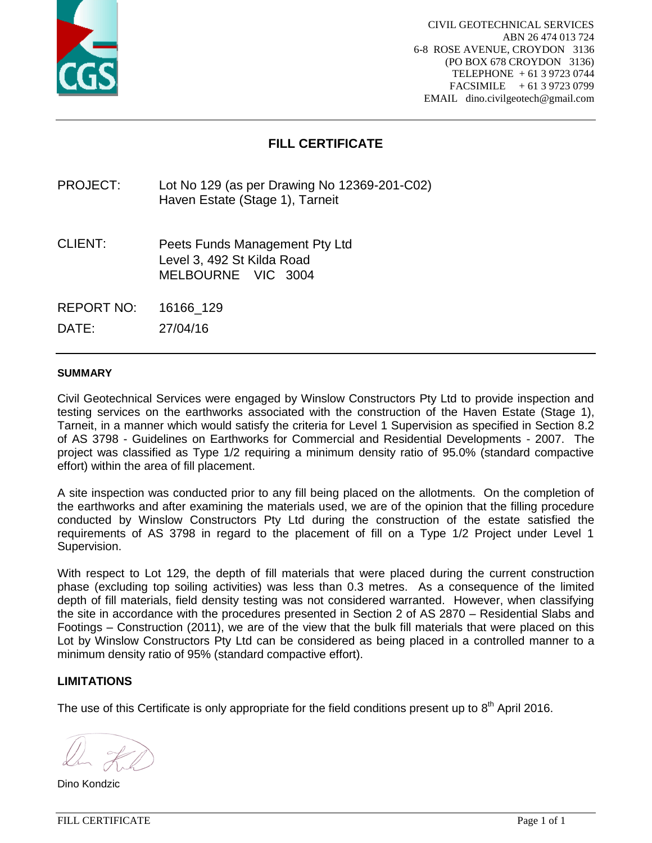

# **FILL CERTIFICATE**

PROJECT: Lot No 129 (as per Drawing No 12369-201-C02) Haven Estate (Stage 1), Tarneit

CLIENT: Peets Funds Management Pty Ltd Level 3, 492 St Kilda Road MELBOURNE VIC 3004

REPORT NO: 16166\_129

DATE: 27/04/16

#### **SUMMARY**

Civil Geotechnical Services were engaged by Winslow Constructors Pty Ltd to provide inspection and testing services on the earthworks associated with the construction of the Haven Estate (Stage 1), Tarneit, in a manner which would satisfy the criteria for Level 1 Supervision as specified in Section 8.2 of AS 3798 - Guidelines on Earthworks for Commercial and Residential Developments - 2007. The project was classified as Type 1/2 requiring a minimum density ratio of 95.0% (standard compactive effort) within the area of fill placement.

A site inspection was conducted prior to any fill being placed on the allotments. On the completion of the earthworks and after examining the materials used, we are of the opinion that the filling procedure conducted by Winslow Constructors Pty Ltd during the construction of the estate satisfied the requirements of AS 3798 in regard to the placement of fill on a Type 1/2 Project under Level 1 Supervision.

With respect to Lot 129, the depth of fill materials that were placed during the current construction phase (excluding top soiling activities) was less than 0.3 metres. As a consequence of the limited depth of fill materials, field density testing was not considered warranted. However, when classifying the site in accordance with the procedures presented in Section 2 of AS 2870 – Residential Slabs and Footings – Construction (2011), we are of the view that the bulk fill materials that were placed on this Lot by Winslow Constructors Pty Ltd can be considered as being placed in a controlled manner to a minimum density ratio of 95% (standard compactive effort).

## **LIMITATIONS**

Dino Kondzic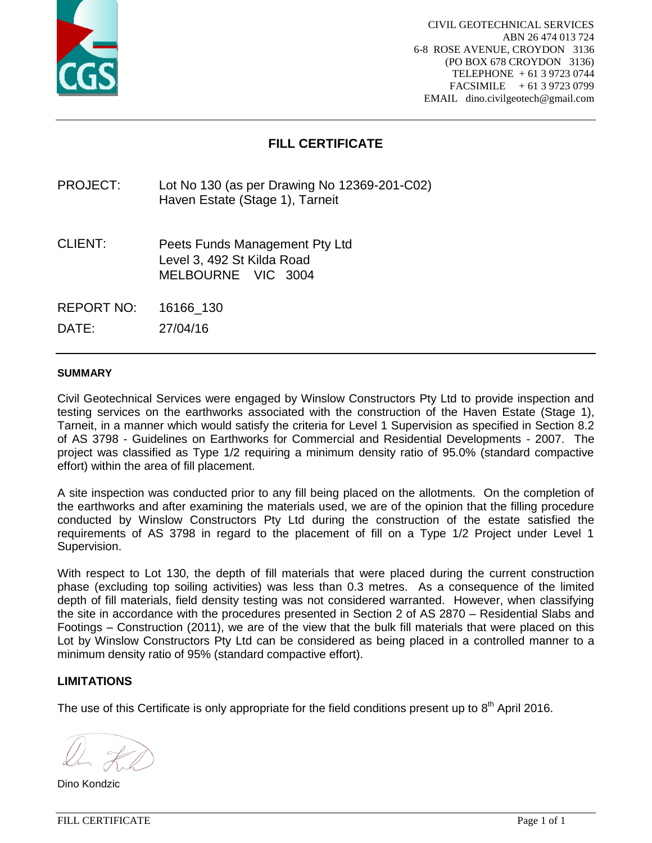

# **FILL CERTIFICATE**

PROJECT: Lot No 130 (as per Drawing No 12369-201-C02) Haven Estate (Stage 1), Tarneit

CLIENT: Peets Funds Management Pty Ltd Level 3, 492 St Kilda Road MELBOURNE VIC 3004

REPORT NO: 16166\_130

DATE: 27/04/16

#### **SUMMARY**

Civil Geotechnical Services were engaged by Winslow Constructors Pty Ltd to provide inspection and testing services on the earthworks associated with the construction of the Haven Estate (Stage 1), Tarneit, in a manner which would satisfy the criteria for Level 1 Supervision as specified in Section 8.2 of AS 3798 - Guidelines on Earthworks for Commercial and Residential Developments - 2007. The project was classified as Type 1/2 requiring a minimum density ratio of 95.0% (standard compactive effort) within the area of fill placement.

A site inspection was conducted prior to any fill being placed on the allotments. On the completion of the earthworks and after examining the materials used, we are of the opinion that the filling procedure conducted by Winslow Constructors Pty Ltd during the construction of the estate satisfied the requirements of AS 3798 in regard to the placement of fill on a Type 1/2 Project under Level 1 Supervision.

With respect to Lot 130, the depth of fill materials that were placed during the current construction phase (excluding top soiling activities) was less than 0.3 metres. As a consequence of the limited depth of fill materials, field density testing was not considered warranted. However, when classifying the site in accordance with the procedures presented in Section 2 of AS 2870 – Residential Slabs and Footings – Construction (2011), we are of the view that the bulk fill materials that were placed on this Lot by Winslow Constructors Pty Ltd can be considered as being placed in a controlled manner to a minimum density ratio of 95% (standard compactive effort).

## **LIMITATIONS**

Dino Kondzic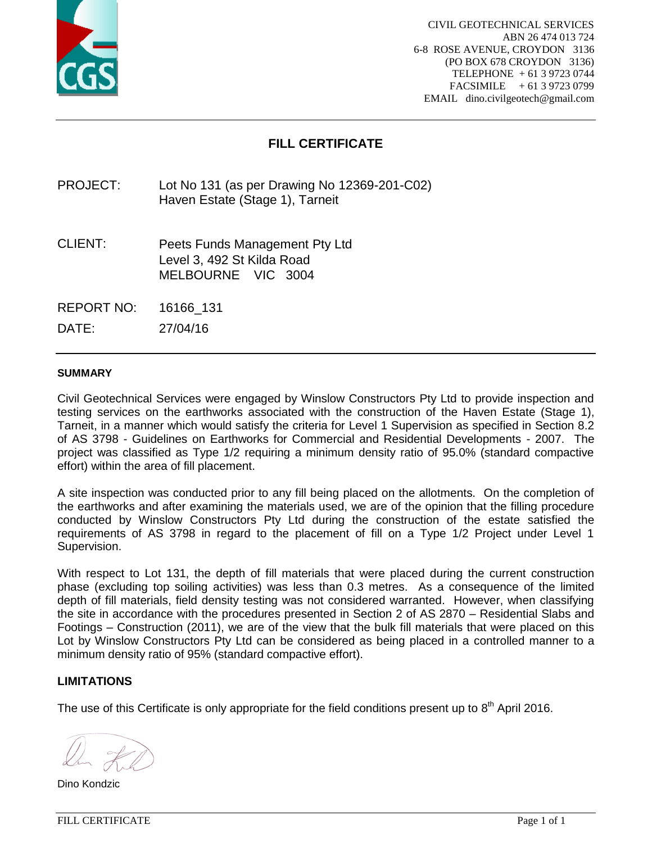

# **FILL CERTIFICATE**

PROJECT: Lot No 131 (as per Drawing No 12369-201-C02) Haven Estate (Stage 1), Tarneit

CLIENT: Peets Funds Management Pty Ltd Level 3, 492 St Kilda Road MELBOURNE VIC 3004

REPORT NO: 16166\_131

DATE: 27/04/16

#### **SUMMARY**

Civil Geotechnical Services were engaged by Winslow Constructors Pty Ltd to provide inspection and testing services on the earthworks associated with the construction of the Haven Estate (Stage 1), Tarneit, in a manner which would satisfy the criteria for Level 1 Supervision as specified in Section 8.2 of AS 3798 - Guidelines on Earthworks for Commercial and Residential Developments - 2007. The project was classified as Type 1/2 requiring a minimum density ratio of 95.0% (standard compactive effort) within the area of fill placement.

A site inspection was conducted prior to any fill being placed on the allotments. On the completion of the earthworks and after examining the materials used, we are of the opinion that the filling procedure conducted by Winslow Constructors Pty Ltd during the construction of the estate satisfied the requirements of AS 3798 in regard to the placement of fill on a Type 1/2 Project under Level 1 Supervision.

With respect to Lot 131, the depth of fill materials that were placed during the current construction phase (excluding top soiling activities) was less than 0.3 metres. As a consequence of the limited depth of fill materials, field density testing was not considered warranted. However, when classifying the site in accordance with the procedures presented in Section 2 of AS 2870 – Residential Slabs and Footings – Construction (2011), we are of the view that the bulk fill materials that were placed on this Lot by Winslow Constructors Pty Ltd can be considered as being placed in a controlled manner to a minimum density ratio of 95% (standard compactive effort).

## **LIMITATIONS**

Dino Kondzic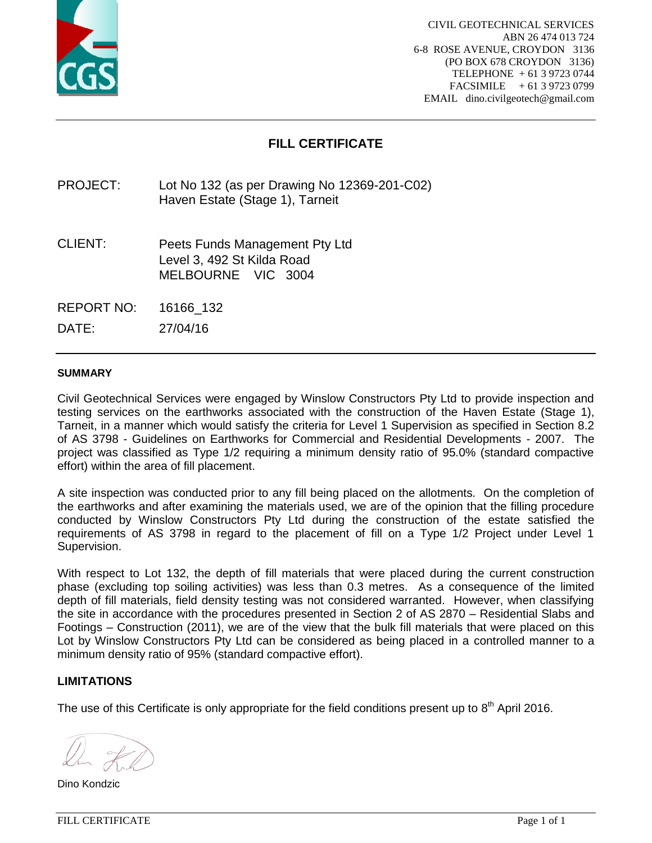

# **FILL CERTIFICATE**

PROJECT: Lot No 132 (as per Drawing No 12369-201-C02) Haven Estate (Stage 1), Tarneit

CLIENT: Peets Funds Management Pty Ltd Level 3, 492 St Kilda Road MELBOURNE VIC 3004

REPORT NO: 16166\_132

DATE: 27/04/16

#### **SUMMARY**

Civil Geotechnical Services were engaged by Winslow Constructors Pty Ltd to provide inspection and testing services on the earthworks associated with the construction of the Haven Estate (Stage 1), Tarneit, in a manner which would satisfy the criteria for Level 1 Supervision as specified in Section 8.2 of AS 3798 - Guidelines on Earthworks for Commercial and Residential Developments - 2007. The project was classified as Type 1/2 requiring a minimum density ratio of 95.0% (standard compactive effort) within the area of fill placement.

A site inspection was conducted prior to any fill being placed on the allotments. On the completion of the earthworks and after examining the materials used, we are of the opinion that the filling procedure conducted by Winslow Constructors Pty Ltd during the construction of the estate satisfied the requirements of AS 3798 in regard to the placement of fill on a Type 1/2 Project under Level 1 Supervision.

With respect to Lot 132, the depth of fill materials that were placed during the current construction phase (excluding top soiling activities) was less than 0.3 metres. As a consequence of the limited depth of fill materials, field density testing was not considered warranted. However, when classifying the site in accordance with the procedures presented in Section 2 of AS 2870 – Residential Slabs and Footings – Construction (2011), we are of the view that the bulk fill materials that were placed on this Lot by Winslow Constructors Pty Ltd can be considered as being placed in a controlled manner to a minimum density ratio of 95% (standard compactive effort).

## **LIMITATIONS**

Dino Kondzic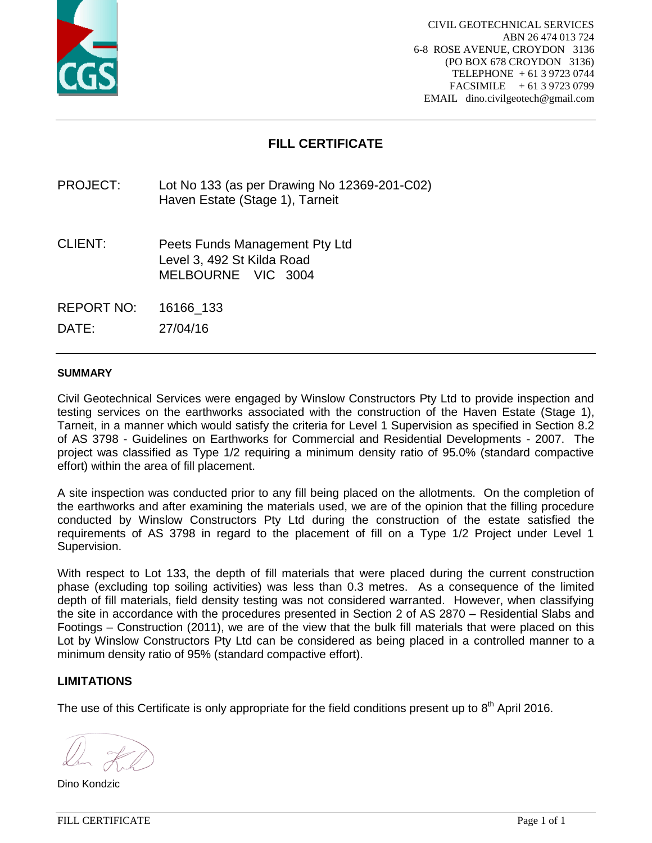

# **FILL CERTIFICATE**

PROJECT: Lot No 133 (as per Drawing No 12369-201-C02) Haven Estate (Stage 1), Tarneit

CLIENT: Peets Funds Management Pty Ltd Level 3, 492 St Kilda Road MELBOURNE VIC 3004

REPORT NO: 16166\_133

DATE: 27/04/16

#### **SUMMARY**

Civil Geotechnical Services were engaged by Winslow Constructors Pty Ltd to provide inspection and testing services on the earthworks associated with the construction of the Haven Estate (Stage 1), Tarneit, in a manner which would satisfy the criteria for Level 1 Supervision as specified in Section 8.2 of AS 3798 - Guidelines on Earthworks for Commercial and Residential Developments - 2007. The project was classified as Type 1/2 requiring a minimum density ratio of 95.0% (standard compactive effort) within the area of fill placement.

A site inspection was conducted prior to any fill being placed on the allotments. On the completion of the earthworks and after examining the materials used, we are of the opinion that the filling procedure conducted by Winslow Constructors Pty Ltd during the construction of the estate satisfied the requirements of AS 3798 in regard to the placement of fill on a Type 1/2 Project under Level 1 Supervision.

With respect to Lot 133, the depth of fill materials that were placed during the current construction phase (excluding top soiling activities) was less than 0.3 metres. As a consequence of the limited depth of fill materials, field density testing was not considered warranted. However, when classifying the site in accordance with the procedures presented in Section 2 of AS 2870 – Residential Slabs and Footings – Construction (2011), we are of the view that the bulk fill materials that were placed on this Lot by Winslow Constructors Pty Ltd can be considered as being placed in a controlled manner to a minimum density ratio of 95% (standard compactive effort).

## **LIMITATIONS**

Dino Kondzic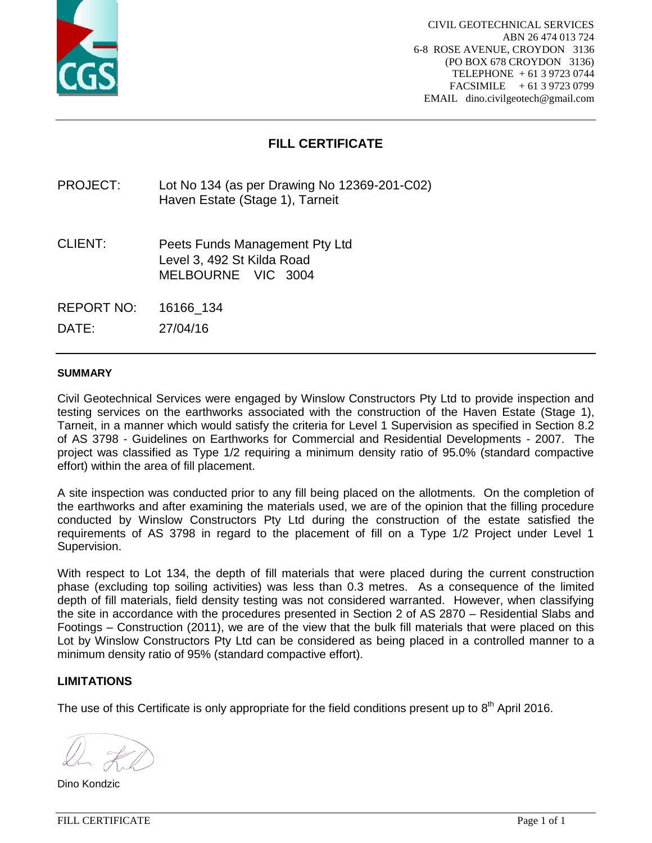

# **FILL CERTIFICATE**

PROJECT: Lot No 134 (as per Drawing No 12369-201-C02) Haven Estate (Stage 1), Tarneit

CLIENT: Peets Funds Management Pty Ltd Level 3, 492 St Kilda Road MELBOURNE VIC 3004

REPORT NO: 16166\_134

DATE: 27/04/16

#### **SUMMARY**

Civil Geotechnical Services were engaged by Winslow Constructors Pty Ltd to provide inspection and testing services on the earthworks associated with the construction of the Haven Estate (Stage 1), Tarneit, in a manner which would satisfy the criteria for Level 1 Supervision as specified in Section 8.2 of AS 3798 - Guidelines on Earthworks for Commercial and Residential Developments - 2007. The project was classified as Type 1/2 requiring a minimum density ratio of 95.0% (standard compactive effort) within the area of fill placement.

A site inspection was conducted prior to any fill being placed on the allotments. On the completion of the earthworks and after examining the materials used, we are of the opinion that the filling procedure conducted by Winslow Constructors Pty Ltd during the construction of the estate satisfied the requirements of AS 3798 in regard to the placement of fill on a Type 1/2 Project under Level 1 Supervision.

With respect to Lot 134, the depth of fill materials that were placed during the current construction phase (excluding top soiling activities) was less than 0.3 metres. As a consequence of the limited depth of fill materials, field density testing was not considered warranted. However, when classifying the site in accordance with the procedures presented in Section 2 of AS 2870 – Residential Slabs and Footings – Construction (2011), we are of the view that the bulk fill materials that were placed on this Lot by Winslow Constructors Pty Ltd can be considered as being placed in a controlled manner to a minimum density ratio of 95% (standard compactive effort).

## **LIMITATIONS**

Dino Kondzic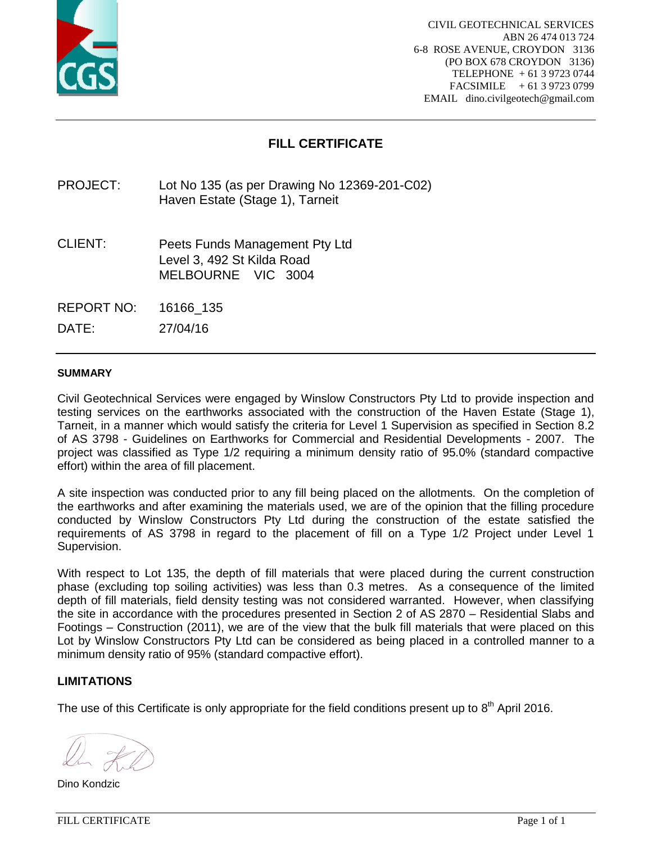

# **FILL CERTIFICATE**

PROJECT: Lot No 135 (as per Drawing No 12369-201-C02) Haven Estate (Stage 1), Tarneit

CLIENT: Peets Funds Management Pty Ltd Level 3, 492 St Kilda Road MELBOURNE VIC 3004

REPORT NO: 16166\_135

DATE: 27/04/16

#### **SUMMARY**

Civil Geotechnical Services were engaged by Winslow Constructors Pty Ltd to provide inspection and testing services on the earthworks associated with the construction of the Haven Estate (Stage 1), Tarneit, in a manner which would satisfy the criteria for Level 1 Supervision as specified in Section 8.2 of AS 3798 - Guidelines on Earthworks for Commercial and Residential Developments - 2007. The project was classified as Type 1/2 requiring a minimum density ratio of 95.0% (standard compactive effort) within the area of fill placement.

A site inspection was conducted prior to any fill being placed on the allotments. On the completion of the earthworks and after examining the materials used, we are of the opinion that the filling procedure conducted by Winslow Constructors Pty Ltd during the construction of the estate satisfied the requirements of AS 3798 in regard to the placement of fill on a Type 1/2 Project under Level 1 Supervision.

With respect to Lot 135, the depth of fill materials that were placed during the current construction phase (excluding top soiling activities) was less than 0.3 metres. As a consequence of the limited depth of fill materials, field density testing was not considered warranted. However, when classifying the site in accordance with the procedures presented in Section 2 of AS 2870 – Residential Slabs and Footings – Construction (2011), we are of the view that the bulk fill materials that were placed on this Lot by Winslow Constructors Pty Ltd can be considered as being placed in a controlled manner to a minimum density ratio of 95% (standard compactive effort).

## **LIMITATIONS**

Dino Kondzic